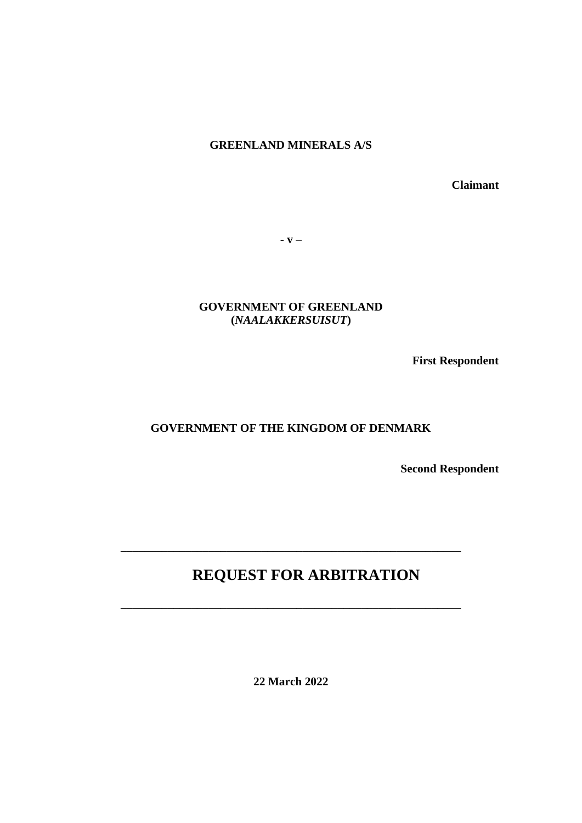## **GREENLAND MINERALS A/S**

**Claimant**

**- v –**

**GOVERNMENT OF GREENLAND (***NAALAKKERSUISUT***)**

**First Respondent**

## **GOVERNMENT OF THE KINGDOM OF DENMARK**

**Second Respondent**

# **REQUEST FOR ARBITRATION**

**\_\_\_\_\_\_\_\_\_\_\_\_\_\_\_\_\_\_\_\_\_\_\_\_\_\_\_\_\_\_\_\_\_\_\_\_\_\_\_\_\_\_\_\_\_\_\_\_\_\_\_\_\_\_\_\_\_\_**

**\_\_\_\_\_\_\_\_\_\_\_\_\_\_\_\_\_\_\_\_\_\_\_\_\_\_\_\_\_\_\_\_\_\_\_\_\_\_\_\_\_\_\_\_\_\_\_\_\_\_\_\_\_\_\_\_\_\_**

**22 March 2022**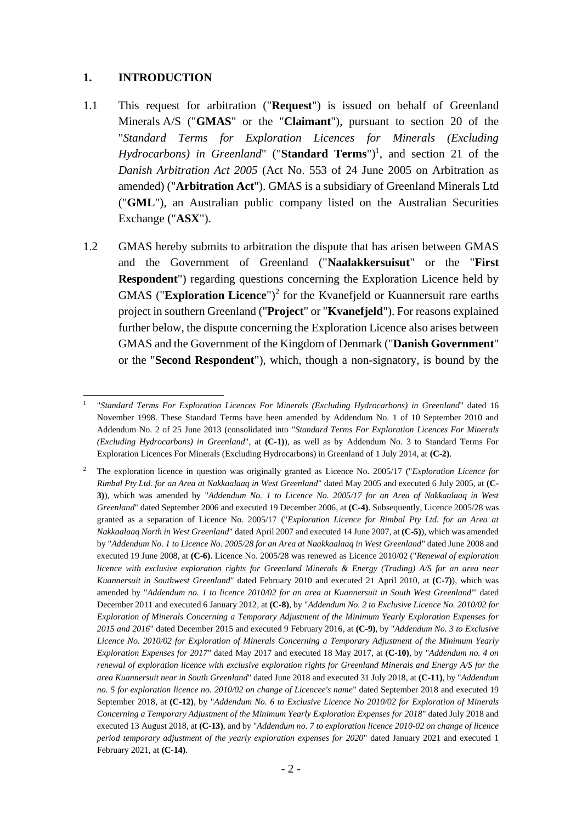#### **1. INTRODUCTION**

- 1.1 This request for arbitration ("**Request**") is issued on behalf of Greenland Minerals A/S ("**GMAS**" or the "**Claimant**"), pursuant to section 20 of the "*Standard Terms for Exploration Licences for Minerals (Excluding Hydrocarbons) in Greenland*" ("**Standard Terms**")<sup>1</sup>, and section 21 of the *Danish Arbitration Act 2005* (Act No. 553 of 24 June 2005 on Arbitration as amended) ("**Arbitration Act**"). GMAS is a subsidiary of Greenland Minerals Ltd ("**GML**"), an Australian public company listed on the Australian Securities Exchange ("**ASX**").
- 1.2 GMAS hereby submits to arbitration the dispute that has arisen between GMAS and the Government of Greenland ("**Naalakkersuisut**" or the "**First Respondent**") regarding questions concerning the Exploration Licence held by GMAS ("Exploration Licence")<sup>2</sup> for the Kvanefjeld or Kuannersuit rare earths project in southern Greenland ("**Project**" or "**Kvanefjeld**"). For reasons explained further below, the dispute concerning the Exploration Licence also arises between GMAS and the Government of the Kingdom of Denmark ("**Danish Government**" or the "**Second Respondent**"), which, though a non-signatory, is bound by the

<sup>1</sup> "*Standard Terms For Exploration Licences For Minerals (Excluding Hydrocarbons) in Greenland*" dated 16 November 1998. These Standard Terms have been amended by Addendum No. 1 of 10 September 2010 and Addendum No. 2 of 25 June 2013 (consolidated into "*Standard Terms For Exploration Licences For Minerals (Excluding Hydrocarbons) in Greenland*", at **(C-1)**), as well as by Addendum No. 3 to Standard Terms For Exploration Licences For Minerals (Excluding Hydrocarbons) in Greenland of 1 July 2014, at **(C-2)**.

<sup>2</sup> The exploration licence in question was originally granted as Licence No. 2005/17 ("*Exploration Licence for Rimbal Pty Ltd. for an Area at Nakkaalaaq in West Greenland*" dated May 2005 and executed 6 July 2005, at **(C-3)**), which was amended by "*Addendum No. 1 to Licence No. 2005/17 for an Area of Nakkaalaaq in West Greenland*" dated September 2006 and executed 19 December 2006, at **(C-4)**. Subsequently, Licence 2005/28 was granted as a separation of Licence No. 2005/17 ("*Exploration Licence for Rimbal Pty Ltd. for an Area at Nakkaalaaq North in West Greenland*" dated April 2007 and executed 14 June 2007, at **(C-5)**), which was amended by "*Addendum No. 1 to Licence No. 2005/28 for an Area at Naakkaalaaq in West Greenland*" dated June 2008 and executed 19 June 2008, at **(C-6)**. Licence No. 2005/28 was renewed as Licence 2010/02 ("*Renewal of exploration licence with exclusive exploration rights for Greenland Minerals & Energy (Trading) A/S for an area near Kuannersuit in Southwest Greenland*" dated February 2010 and executed 21 April 2010, at **(C-7)**), which was amended by "*Addendum no. 1 to licence 2010/02 for an area at Kuannersuit in South West Greenland*"' dated December 2011 and executed 6 January 2012, at **(C-8)**, by "*Addendum No. 2 to Exclusive Licence No. 2010/02 for Exploration of Minerals Concerning a Temporary Adjustment of the Minimum Yearly Exploration Expenses for 2015 and 2016*" dated December 2015 and executed 9 February 2016, at **(C-9)**, by "*Addendum No. 3 to Exclusive Licence No. 2010/02 for Exploration of Minerals Concerning a Temporary Adjustment of the Minimum Yearly Exploration Expenses for 2017*" dated May 2017 and executed 18 May 2017, at **(C-10)**, by "*Addendum no. 4 on renewal of exploration licence with exclusive exploration rights for Greenland Minerals and Energy A/S for the area Kuannersuit near in South Greenland*" dated June 2018 and executed 31 July 2018, at **(C-11)**, by "*Addendum no. 5 for exploration licence no. 2010/02 on change of Licencee's name*" dated September 2018 and executed 19 September 2018, at **(C-12)**, by "*Addendum No. 6 to Exclusive Licence No 2010/02 for Exploration of Minerals Concerning a Temporary Adjustment of the Minimum Yearly Exploration Expenses for 2018*" dated July 2018 and executed 13 August 2018, at **(C-13)**, and by "*Addendum no. 7 to exploration licence 2010-02 on change of licence period temporary adjustment of the yearly exploration expenses for 2020*" dated January 2021 and executed 1 February 2021, at **(C-14)**.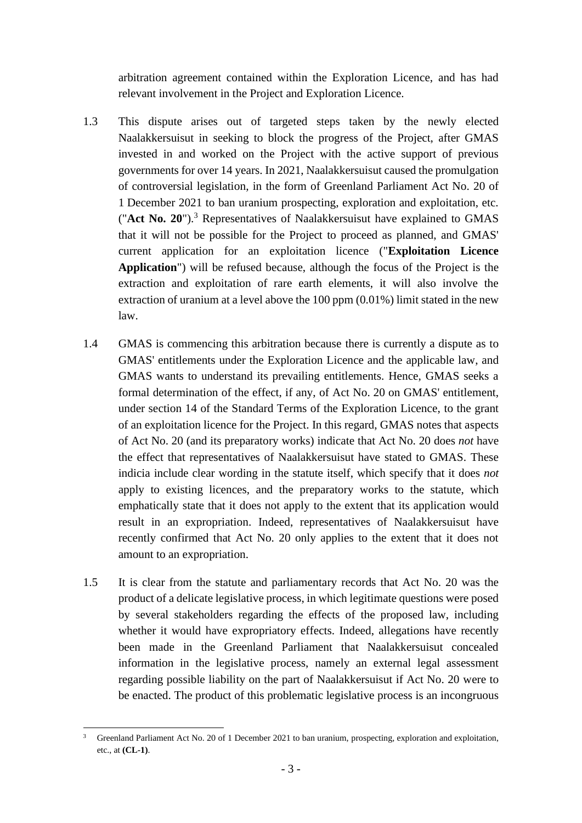arbitration agreement contained within the Exploration Licence, and has had relevant involvement in the Project and Exploration Licence.

- 1.3 This dispute arises out of targeted steps taken by the newly elected Naalakkersuisut in seeking to block the progress of the Project, after GMAS invested in and worked on the Project with the active support of previous governments for over 14 years. In 2021, Naalakkersuisut caused the promulgation of controversial legislation, in the form of Greenland Parliament Act No. 20 of 1 December 2021 to ban uranium prospecting, exploration and exploitation, etc. ("**Act No. 20**"). <sup>3</sup> Representatives of Naalakkersuisut have explained to GMAS that it will not be possible for the Project to proceed as planned, and GMAS' current application for an exploitation licence ("**Exploitation Licence Application**") will be refused because, although the focus of the Project is the extraction and exploitation of rare earth elements, it will also involve the extraction of uranium at a level above the 100 ppm (0.01%) limit stated in the new law.
- 1.4 GMAS is commencing this arbitration because there is currently a dispute as to GMAS' entitlements under the Exploration Licence and the applicable law, and GMAS wants to understand its prevailing entitlements. Hence, GMAS seeks a formal determination of the effect, if any, of Act No. 20 on GMAS' entitlement, under section 14 of the Standard Terms of the Exploration Licence, to the grant of an exploitation licence for the Project. In this regard, GMAS notes that aspects of Act No. 20 (and its preparatory works) indicate that Act No. 20 does *not* have the effect that representatives of Naalakkersuisut have stated to GMAS. These indicia include clear wording in the statute itself, which specify that it does *not*  apply to existing licences, and the preparatory works to the statute, which emphatically state that it does not apply to the extent that its application would result in an expropriation. Indeed, representatives of Naalakkersuisut have recently confirmed that Act No. 20 only applies to the extent that it does not amount to an expropriation.
- 1.5 It is clear from the statute and parliamentary records that Act No. 20 was the product of a delicate legislative process, in which legitimate questions were posed by several stakeholders regarding the effects of the proposed law, including whether it would have expropriatory effects. Indeed, allegations have recently been made in the Greenland Parliament that Naalakkersuisut concealed information in the legislative process, namely an external legal assessment regarding possible liability on the part of Naalakkersuisut if Act No. 20 were to be enacted. The product of this problematic legislative process is an incongruous

<sup>3</sup> Greenland Parliament Act No. 20 of 1 December 2021 to ban uranium, prospecting, exploration and exploitation, etc., at **(CL-1)**.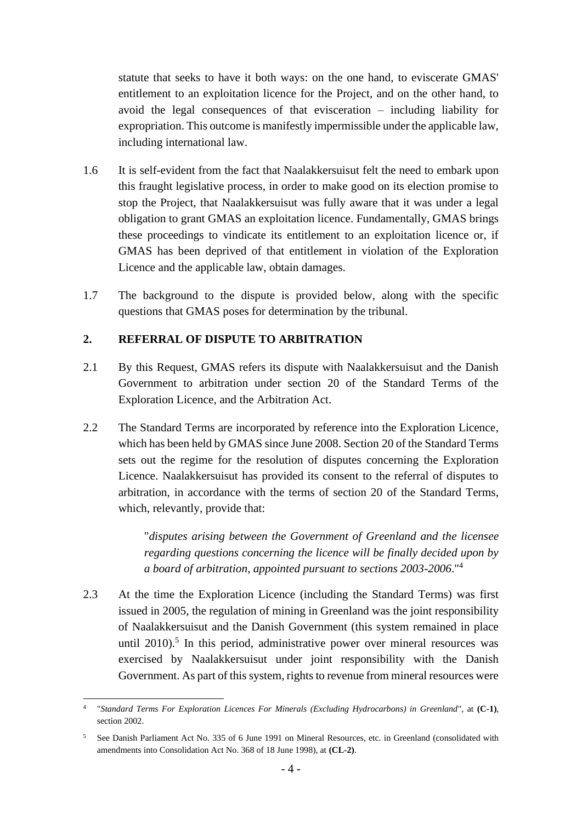statute that seeks to have it both ways: on the one hand, to eviscerate GMAS' entitlement to an exploitation licence for the Project, and on the other hand, to avoid the legal consequences of that evisceration – including liability for expropriation. This outcome is manifestly impermissible under the applicable law, including international law.

- 1.6 It is self-evident from the fact that Naalakkersuisut felt the need to embark upon this fraught legislative process, in order to make good on its election promise to stop the Project, that Naalakkersuisut was fully aware that it was under a legal obligation to grant GMAS an exploitation licence. Fundamentally, GMAS brings these proceedings to vindicate its entitlement to an exploitation licence or, if GMAS has been deprived of that entitlement in violation of the Exploration Licence and the applicable law, obtain damages.
- 1.7 The background to the dispute is provided below, along with the specific questions that GMAS poses for determination by the tribunal.

## **2. REFERRAL OF DISPUTE TO ARBITRATION**

- 2.1 By this Request, GMAS refers its dispute with Naalakkersuisut and the Danish Government to arbitration under section 20 of the Standard Terms of the Exploration Licence, and the Arbitration Act.
- 2.2 The Standard Terms are incorporated by reference into the Exploration Licence, which has been held by GMAS since June 2008. Section 20 of the Standard Terms sets out the regime for the resolution of disputes concerning the Exploration Licence. Naalakkersuisut has provided its consent to the referral of disputes to arbitration, in accordance with the terms of section 20 of the Standard Terms, which, relevantly, provide that:

"*disputes arising between the Government of Greenland and the licensee regarding questions concerning the licence will be finally decided upon by a board of arbitration, appointed pursuant to sections 2003-2006*."<sup>4</sup>

2.3 At the time the Exploration Licence (including the Standard Terms) was first issued in 2005, the regulation of mining in Greenland was the joint responsibility of Naalakkersuisut and the Danish Government (this system remained in place until  $2010$ .<sup>5</sup> In this period, administrative power over mineral resources was exercised by Naalakkersuisut under joint responsibility with the Danish Government. As part of this system, rights to revenue from mineral resources were

<sup>4</sup> "*Standard Terms For Exploration Licences For Minerals (Excluding Hydrocarbons) in Greenland*", at **(C-1)**, section 2002.

<sup>5</sup> See Danish Parliament Act No. 335 of 6 June 1991 on Mineral Resources, etc. in Greenland (consolidated with amendments into Consolidation Act No. 368 of 18 June 1998), at **(CL-2)**.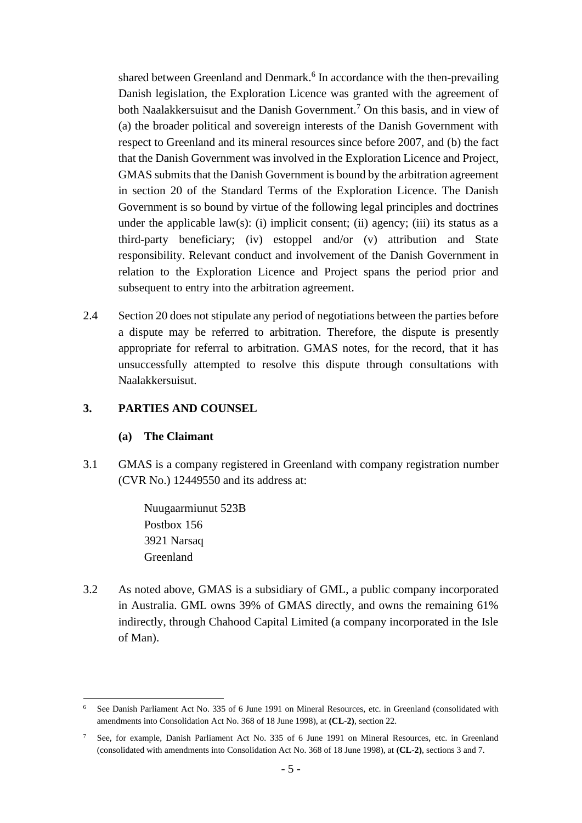shared between Greenland and Denmark.<sup>6</sup> In accordance with the then-prevailing Danish legislation, the Exploration Licence was granted with the agreement of both Naalakkersuisut and the Danish Government.<sup>7</sup> On this basis, and in view of (a) the broader political and sovereign interests of the Danish Government with respect to Greenland and its mineral resources since before 2007, and (b) the fact that the Danish Government was involved in the Exploration Licence and Project, GMAS submits that the Danish Government is bound by the arbitration agreement in section 20 of the Standard Terms of the Exploration Licence. The Danish Government is so bound by virtue of the following legal principles and doctrines under the applicable law(s): (i) implicit consent; (ii) agency; (iii) its status as a third-party beneficiary; (iv) estoppel and/or (v) attribution and State responsibility. Relevant conduct and involvement of the Danish Government in relation to the Exploration Licence and Project spans the period prior and subsequent to entry into the arbitration agreement.

2.4 Section 20 does not stipulate any period of negotiations between the parties before a dispute may be referred to arbitration. Therefore, the dispute is presently appropriate for referral to arbitration. GMAS notes, for the record, that it has unsuccessfully attempted to resolve this dispute through consultations with Naalakkersuisut.

## **3. PARTIES AND COUNSEL**

#### **(a) The Claimant**

3.1 GMAS is a company registered in Greenland with company registration number (CVR No.) 12449550 and its address at:

> Nuugaarmiunut 523B Postbox 156 3921 Narsaq Greenland

3.2 As noted above, GMAS is a subsidiary of GML, a public company incorporated in Australia. GML owns 39% of GMAS directly, and owns the remaining 61% indirectly, through Chahood Capital Limited (a company incorporated in the Isle of Man).

<sup>6</sup> See Danish Parliament Act No. 335 of 6 June 1991 on Mineral Resources, etc. in Greenland (consolidated with amendments into Consolidation Act No. 368 of 18 June 1998), at **(CL-2)**, section 22.

<sup>7</sup> See, for example, Danish Parliament Act No. 335 of 6 June 1991 on Mineral Resources, etc. in Greenland (consolidated with amendments into Consolidation Act No. 368 of 18 June 1998), at **(CL-2)**, sections 3 and 7.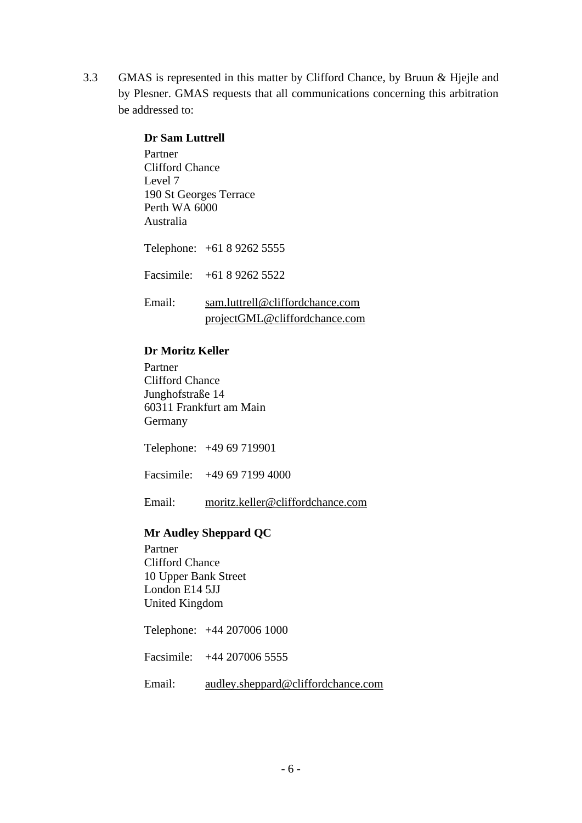3.3 GMAS is represented in this matter by Clifford Chance, by Bruun & Hjejle and by Plesner. GMAS requests that all communications concerning this arbitration be addressed to:

> **Dr Sam Luttrell** Partner Clifford Chance Level 7 190 St Georges Terrace Perth WA 6000 Australia Telephone: +61 8 9262 5555 Facsimile: +61 8 9262 5522 Email: sam.luttrell@cliffordchance.com projectGML@cliffordchance.com

## **Dr Moritz Keller**

Partner Clifford Chance Junghofstraße 14 60311 Frankfurt am Main Germany

Telephone: +49 69 719901

Facsimile: +49 69 7199 4000

Email: moritz.keller@cliffordchance.com

#### **Mr Audley Sheppard QC**

Partner Clifford Chance 10 Upper Bank Street London E14 5JJ United Kingdom

Telephone: +44 207006 1000

Facsimile: +44 207006 5555

Email: audley.sheppard@cliffordchance.com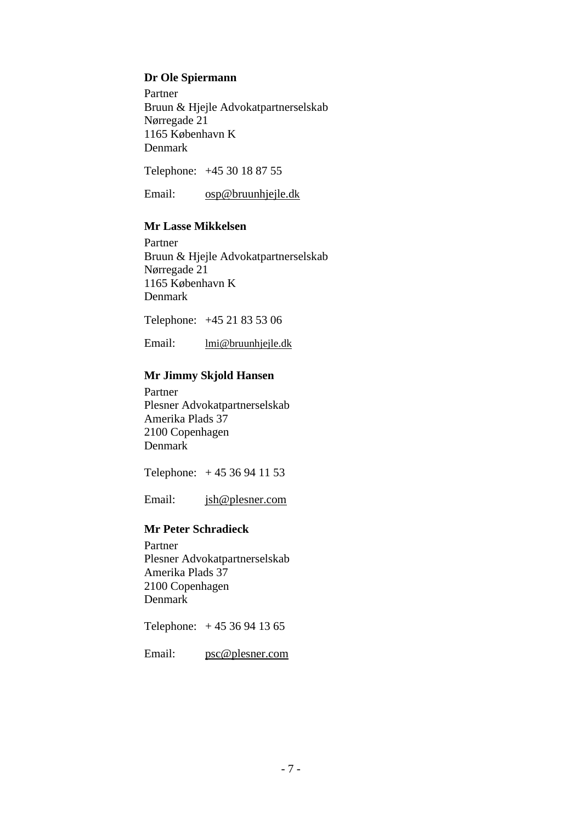#### **Dr Ole Spiermann**

Partner Bruun & Hjejle Advokatpartnerselskab Nørregade 21 1165 København K Denmark

Telephone: +45 30 18 87 55

Email: osp@bruunhjejle.dk

#### **Mr Lasse Mikkelsen**

Partner Bruun & Hjejle Advokatpartnerselskab Nørregade 21 1165 København K Denmark

Telephone: +45 21 83 53 06

Email: lmi@bruunhjejle.dk

#### **Mr Jimmy Skjold Hansen**

Partner Plesner Advokatpartnerselskab Amerika Plads 37 2100 Copenhagen Denmark

Telephone: + 45 36 94 11 53

Email: jsh@plesner.com

## **Mr Peter Schradieck**

Partner Plesner Advokatpartnerselskab Amerika Plads 37 2100 Copenhagen Denmark

Telephone: + 45 36 94 13 65

Email: psc@plesner.com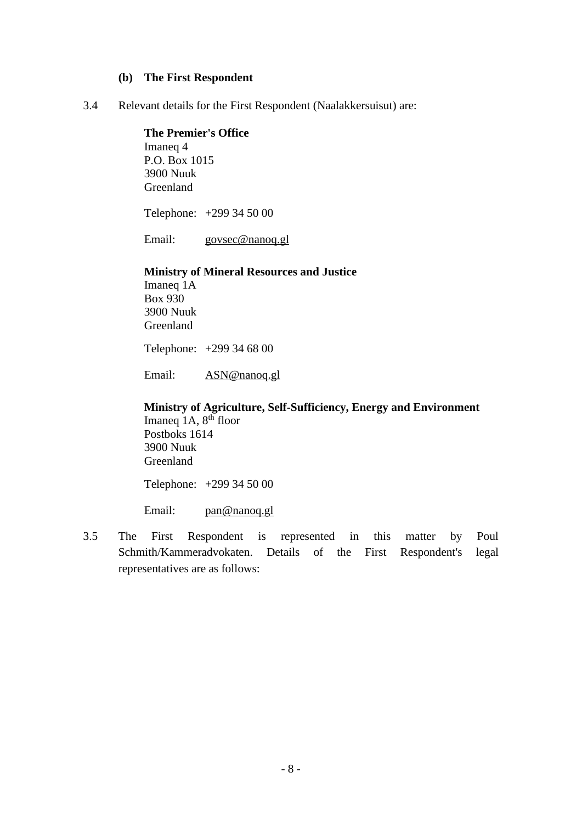#### **(b) The First Respondent**

3.4 Relevant details for the First Respondent (Naalakkersuisut) are:

#### **The Premier's Office**

Imaneq 4 P.O. Box 1015 3900 Nuuk Greenland

Telephone: +299 34 50 00

Email: govsec@nanoq.gl

#### **Ministry of Mineral Resources and Justice**

Imaneq 1A Box 930 3900 Nuuk Greenland

Telephone: +299 34 68 00

Email: ASN@nanoq.gl

**Ministry of Agriculture, Self-Sufficiency, Energy and Environment** Imaneq 1A,  $8<sup>th</sup>$  floor Postboks 1614 3900 Nuuk Greenland

Telephone: +299 34 50 00

Email: pan@nanoq.gl

3.5 The First Respondent is represented in this matter by Poul Schmith/Kammeradvokaten. Details of the First Respondent's legal representatives are as follows: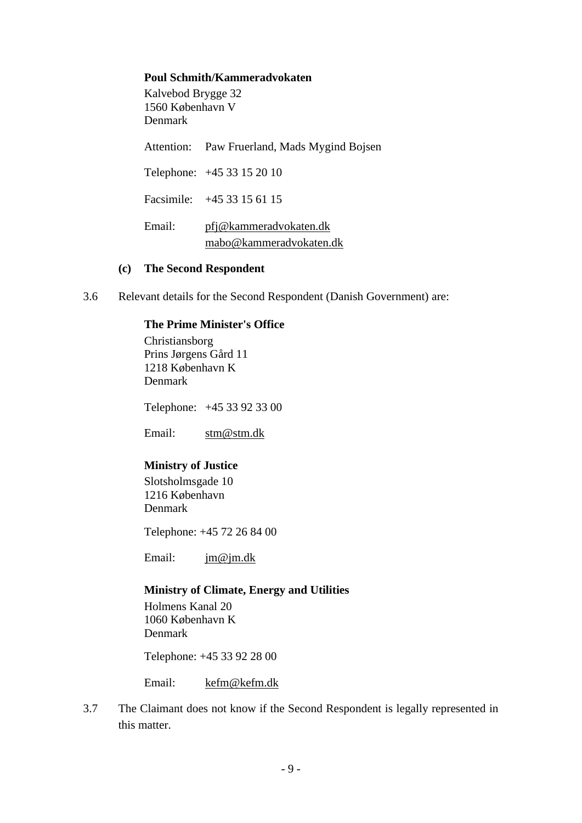#### **Poul Schmith/Kammeradvokaten**

Kalvebod Brygge 32 1560 København V Denmark

Attention: Paw Fruerland, Mads Mygind Bojsen Telephone: +45 33 15 20 10 Facsimile: +45 33 15 61 15 Email: pfj@kammeradvokaten.dk mabo@kammeradvokaten.dk

#### **(c) The Second Respondent**

3.6 Relevant details for the Second Respondent (Danish Government) are:

#### **The Prime Minister's Office**

Christiansborg Prins Jørgens Gård 11 1218 København K Denmark

Telephone: +45 33 92 33 00

Email: stm@stm.dk

#### **Ministry of Justice**

Slotsholmsgade 10 1216 København Denmark

Telephone: +45 72 26 84 00

Email:  $jm@jm.dk$ 

#### **Ministry of Climate, Energy and Utilities**

Holmens Kanal 20 1060 København K Denmark

Telephone: +45 33 92 28 00

Email: kefm@kefm.dk

3.7 The Claimant does not know if the Second Respondent is legally represented in this matter.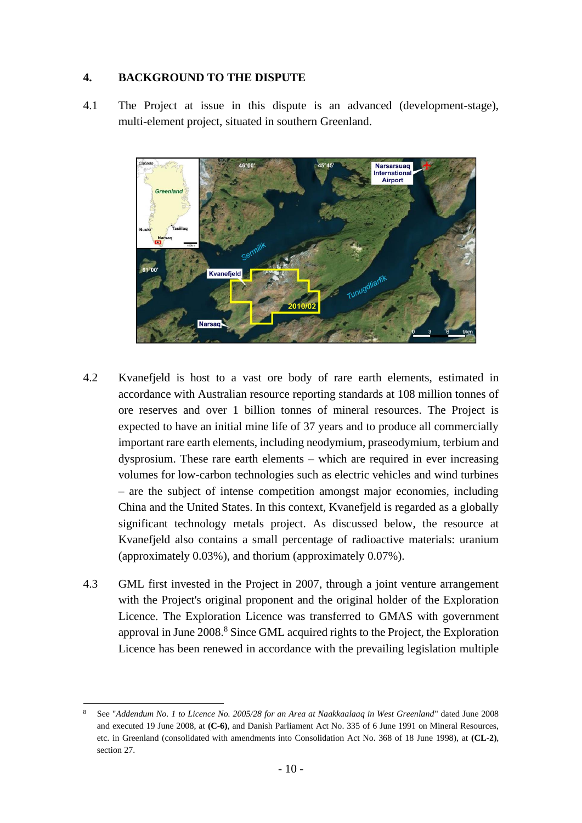## **4. BACKGROUND TO THE DISPUTE**

4.1 The Project at issue in this dispute is an advanced (development-stage), multi-element project, situated in southern Greenland.



- 4.2 Kvanefjeld is host to a vast ore body of rare earth elements, estimated in accordance with Australian resource reporting standards at 108 million tonnes of ore reserves and over 1 billion tonnes of mineral resources. The Project is expected to have an initial mine life of 37 years and to produce all commercially important rare earth elements, including neodymium, praseodymium, terbium and dysprosium. These rare earth elements – which are required in ever increasing volumes for low-carbon technologies such as electric vehicles and wind turbines – are the subject of intense competition amongst major economies, including China and the United States. In this context, Kvanefjeld is regarded as a globally significant technology metals project. As discussed below, the resource at Kvanefjeld also contains a small percentage of radioactive materials: uranium (approximately 0.03%), and thorium (approximately 0.07%).
- 4.3 GML first invested in the Project in 2007, through a joint venture arrangement with the Project's original proponent and the original holder of the Exploration Licence. The Exploration Licence was transferred to GMAS with government approval in June 2008.<sup>8</sup> Since GML acquired rights to the Project, the Exploration Licence has been renewed in accordance with the prevailing legislation multiple

<sup>8</sup> See "*Addendum No. 1 to Licence No. 2005/28 for an Area at Naakkaalaaq in West Greenland*" dated June 2008 and executed 19 June 2008, at **(C-6)**, and Danish Parliament Act No. 335 of 6 June 1991 on Mineral Resources, etc. in Greenland (consolidated with amendments into Consolidation Act No. 368 of 18 June 1998), at **(CL-2)**, section 27.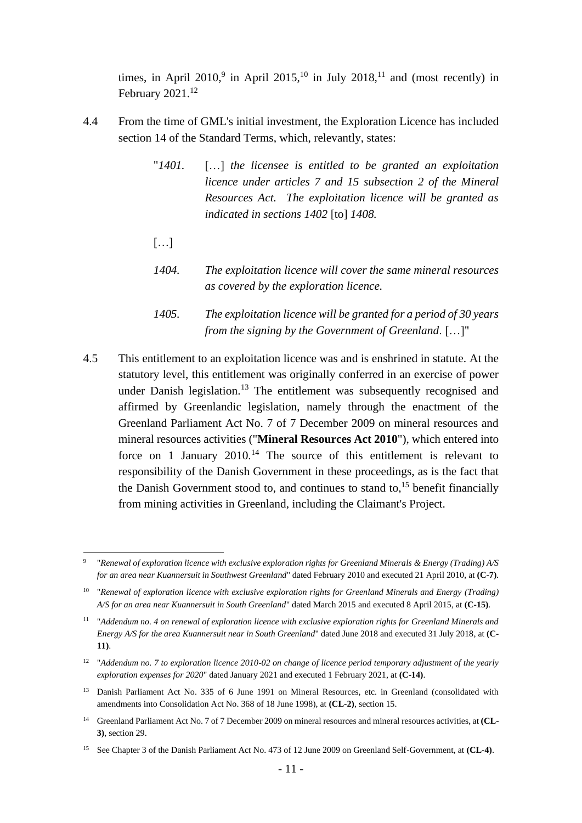times, in April 2010,<sup>9</sup> in April 2015,<sup>10</sup> in July 2018,<sup>11</sup> and (most recently) in February 2021.<sup>12</sup>

- 4.4 From the time of GML's initial investment, the Exploration Licence has included section 14 of the Standard Terms, which, relevantly, states:
	- "*1401.* […] *the licensee is entitled to be granted an exploitation licence under articles 7 and 15 subsection 2 of the Mineral Resources Act. The exploitation licence will be granted as indicated in sections 1402* [to] *1408.*
	- […]
	- *1404. The exploitation licence will cover the same mineral resources as covered by the exploration licence.*
	- *1405. The exploitation licence will be granted for a period of 30 years from the signing by the Government of Greenland*. […]"
- 4.5 This entitlement to an exploitation licence was and is enshrined in statute. At the statutory level, this entitlement was originally conferred in an exercise of power under Danish legislation.<sup>13</sup> The entitlement was subsequently recognised and affirmed by Greenlandic legislation, namely through the enactment of the Greenland Parliament Act No. 7 of 7 December 2009 on mineral resources and mineral resources activities ("**Mineral Resources Act 2010**"), which entered into force on 1 January  $2010<sup>14</sup>$  The source of this entitlement is relevant to responsibility of the Danish Government in these proceedings, as is the fact that the Danish Government stood to, and continues to stand to, $15$  benefit financially from mining activities in Greenland, including the Claimant's Project.

<sup>9</sup> "*Renewal of exploration licence with exclusive exploration rights for Greenland Minerals & Energy (Trading) A/S for an area near Kuannersuit in Southwest Greenland*" dated February 2010 and executed 21 April 2010, at **(C-7)**.

<sup>&</sup>lt;sup>10</sup> "Renewal of exploration licence with exclusive exploration rights for Greenland Minerals and Energy (Trading) *A/S for an area near Kuannersuit in South Greenland*" dated March 2015 and executed 8 April 2015, at **(C-15)**.

<sup>&</sup>lt;sup>11</sup> "Addendum no. 4 on renewal of exploration licence with exclusive exploration rights for Greenland Minerals and *Energy A/S for the area Kuannersuit near in South Greenland*" dated June 2018 and executed 31 July 2018, at **(C-11)**.

<sup>&</sup>lt;sup>12</sup> "Addendum no. 7 to exploration licence 2010-02 on change of licence period temporary adjustment of the yearly *exploration expenses for 2020*" dated January 2021 and executed 1 February 2021, at **(C-14)**.

<sup>&</sup>lt;sup>13</sup> Danish Parliament Act No. 335 of 6 June 1991 on Mineral Resources, etc. in Greenland (consolidated with amendments into Consolidation Act No. 368 of 18 June 1998), at **(CL-2)**, section 15.

<sup>14</sup> Greenland Parliament Act No. 7 of 7 December 2009 on mineral resources and mineral resources activities, at **(CL-3)**, section 29.

<sup>15</sup> See Chapter 3 of the Danish Parliament Act No. 473 of 12 June 2009 on Greenland Self-Government, at **(CL-4)**.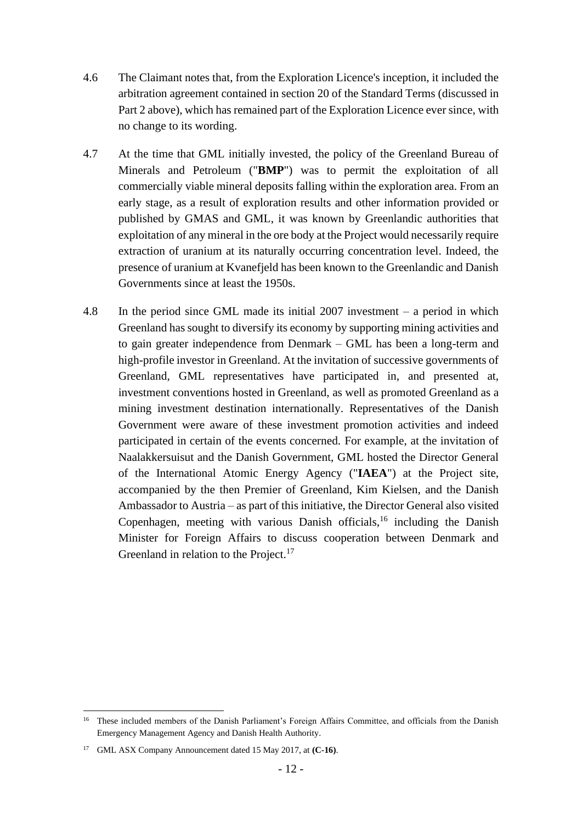- 4.6 The Claimant notes that, from the Exploration Licence's inception, it included the arbitration agreement contained in section 20 of the Standard Terms (discussed in Part 2 above), which has remained part of the Exploration Licence ever since, with no change to its wording.
- 4.7 At the time that GML initially invested, the policy of the Greenland Bureau of Minerals and Petroleum ("**BMP**") was to permit the exploitation of all commercially viable mineral deposits falling within the exploration area. From an early stage, as a result of exploration results and other information provided or published by GMAS and GML, it was known by Greenlandic authorities that exploitation of any mineral in the ore body at the Project would necessarily require extraction of uranium at its naturally occurring concentration level. Indeed, the presence of uranium at Kvanefjeld has been known to the Greenlandic and Danish Governments since at least the 1950s.
- 4.8 In the period since GML made its initial 2007 investment a period in which Greenland has sought to diversify its economy by supporting mining activities and to gain greater independence from Denmark – GML has been a long-term and high-profile investor in Greenland. At the invitation of successive governments of Greenland, GML representatives have participated in, and presented at, investment conventions hosted in Greenland, as well as promoted Greenland as a mining investment destination internationally. Representatives of the Danish Government were aware of these investment promotion activities and indeed participated in certain of the events concerned. For example, at the invitation of Naalakkersuisut and the Danish Government, GML hosted the Director General of the International Atomic Energy Agency ("**IAEA**") at the Project site, accompanied by the then Premier of Greenland, Kim Kielsen, and the Danish Ambassador to Austria – as part of this initiative, the Director General also visited Copenhagen, meeting with various Danish officials, $16$  including the Danish Minister for Foreign Affairs to discuss cooperation between Denmark and Greenland in relation to the Project.<sup>17</sup>

<sup>&</sup>lt;sup>16</sup> These included members of the Danish Parliament's Foreign Affairs Committee, and officials from the Danish Emergency Management Agency and Danish Health Authority.

<sup>17</sup> GML ASX Company Announcement dated 15 May 2017, at **(C-16)**.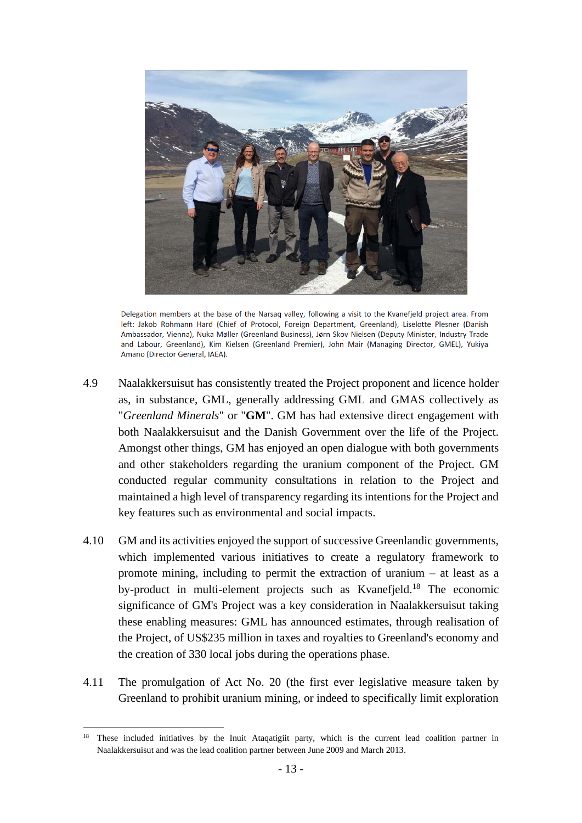

Delegation members at the base of the Narsaq valley, following a visit to the Kvanefield project area. From left: Jakob Rohmann Hard (Chief of Protocol, Foreign Department, Greenland), Liselotte Plesner (Danish Ambassador, Vienna), Nuka Møller (Greenland Business), Jørn Skov Nielsen (Deputy Minister, Industry Trade and Labour, Greenland), Kim Kielsen (Greenland Premier), John Mair (Managing Director, GMEL), Yukiya Amano (Director General, IAEA).

- 4.9 Naalakkersuisut has consistently treated the Project proponent and licence holder as, in substance, GML, generally addressing GML and GMAS collectively as "*Greenland Minerals*" or "**GM**". GM has had extensive direct engagement with both Naalakkersuisut and the Danish Government over the life of the Project. Amongst other things, GM has enjoyed an open dialogue with both governments and other stakeholders regarding the uranium component of the Project. GM conducted regular community consultations in relation to the Project and maintained a high level of transparency regarding its intentions for the Project and key features such as environmental and social impacts.
- 4.10 GM and its activities enjoyed the support of successive Greenlandic governments, which implemented various initiatives to create a regulatory framework to promote mining, including to permit the extraction of uranium – at least as a by-product in multi-element projects such as Kvanefjeld.<sup>18</sup> The economic significance of GM's Project was a key consideration in Naalakkersuisut taking these enabling measures: GML has announced estimates, through realisation of the Project, of US\$235 million in taxes and royalties to Greenland's economy and the creation of 330 local jobs during the operations phase.
- 4.11 The promulgation of Act No. 20 (the first ever legislative measure taken by Greenland to prohibit uranium mining, or indeed to specifically limit exploration

<sup>&</sup>lt;sup>18</sup> These included initiatives by the Inuit Ataqatigiit party, which is the current lead coalition partner in Naalakkersuisut and was the lead coalition partner between June 2009 and March 2013.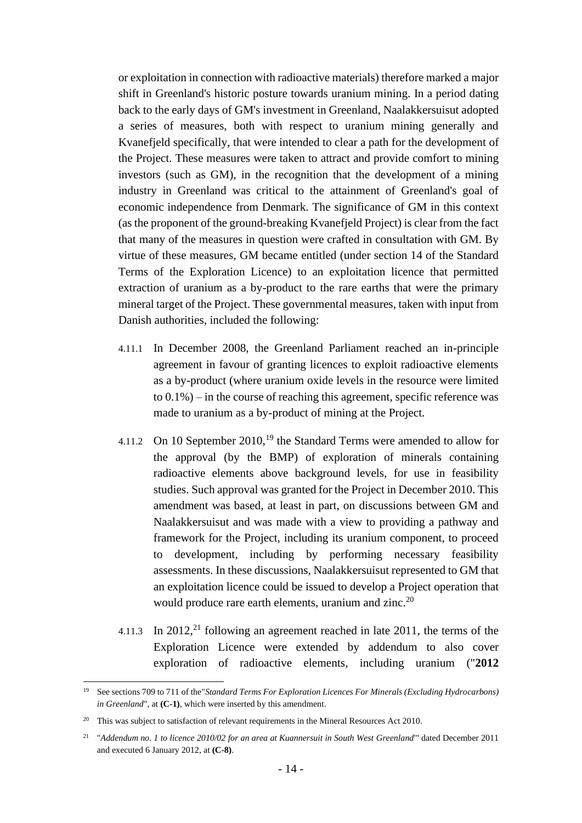or exploitation in connection with radioactive materials) therefore marked a major shift in Greenland's historic posture towards uranium mining. In a period dating back to the early days of GM's investment in Greenland, Naalakkersuisut adopted a series of measures, both with respect to uranium mining generally and Kvanefjeld specifically, that were intended to clear a path for the development of the Project. These measures were taken to attract and provide comfort to mining investors (such as GM), in the recognition that the development of a mining industry in Greenland was critical to the attainment of Greenland's goal of economic independence from Denmark. The significance of GM in this context (as the proponent of the ground-breaking Kvanefjeld Project) is clear from the fact that many of the measures in question were crafted in consultation with GM. By virtue of these measures, GM became entitled (under section 14 of the Standard Terms of the Exploration Licence) to an exploitation licence that permitted extraction of uranium as a by-product to the rare earths that were the primary mineral target of the Project. These governmental measures, taken with input from Danish authorities, included the following:

- 4.11.1 In December 2008, the Greenland Parliament reached an in-principle agreement in favour of granting licences to exploit radioactive elements as a by-product (where uranium oxide levels in the resource were limited to 0.1%) – in the course of reaching this agreement, specific reference was made to uranium as a by-product of mining at the Project.
- 4.11.2 On 10 September  $2010$ , <sup>19</sup> the Standard Terms were amended to allow for the approval (by the BMP) of exploration of minerals containing radioactive elements above background levels, for use in feasibility studies. Such approval was granted for the Project in December 2010. This amendment was based, at least in part, on discussions between GM and Naalakkersuisut and was made with a view to providing a pathway and framework for the Project, including its uranium component, to proceed to development, including by performing necessary feasibility assessments. In these discussions, Naalakkersuisut represented to GM that an exploitation licence could be issued to develop a Project operation that would produce rare earth elements, uranium and zinc.<sup>20</sup>
- 4.11.3 In 2012,<sup>21</sup> following an agreement reached in late 2011, the terms of the Exploration Licence were extended by addendum to also cover exploration of radioactive elements, including uranium ("**2012**

<sup>19</sup> See sections 709 to 711 of the"*Standard Terms For Exploration Licences For Minerals (Excluding Hydrocarbons) in Greenland*", at **(C-1)**, which were inserted by this amendment.

<sup>&</sup>lt;sup>20</sup> This was subject to satisfaction of relevant requirements in the Mineral Resources Act 2010.

<sup>21</sup> "*Addendum no. 1 to licence 2010/02 for an area at Kuannersuit in South West Greenland*"' dated December 2011 and executed 6 January 2012, at **(C-8)**.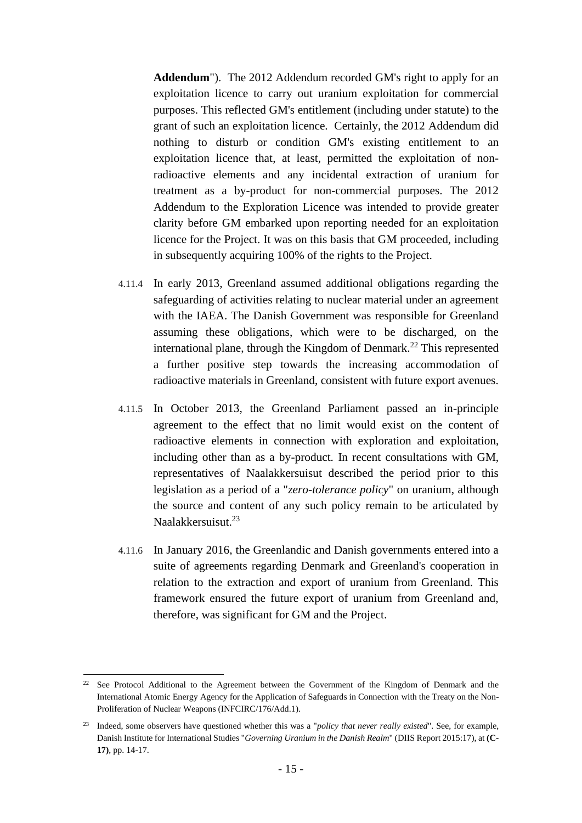**Addendum**"). The 2012 Addendum recorded GM's right to apply for an exploitation licence to carry out uranium exploitation for commercial purposes. This reflected GM's entitlement (including under statute) to the grant of such an exploitation licence. Certainly, the 2012 Addendum did nothing to disturb or condition GM's existing entitlement to an exploitation licence that, at least, permitted the exploitation of nonradioactive elements and any incidental extraction of uranium for treatment as a by-product for non-commercial purposes. The 2012 Addendum to the Exploration Licence was intended to provide greater clarity before GM embarked upon reporting needed for an exploitation licence for the Project. It was on this basis that GM proceeded, including in subsequently acquiring 100% of the rights to the Project.

- 4.11.4 In early 2013, Greenland assumed additional obligations regarding the safeguarding of activities relating to nuclear material under an agreement with the IAEA. The Danish Government was responsible for Greenland assuming these obligations, which were to be discharged, on the international plane, through the Kingdom of Denmark.<sup>22</sup> This represented a further positive step towards the increasing accommodation of radioactive materials in Greenland, consistent with future export avenues.
- 4.11.5 In October 2013, the Greenland Parliament passed an in-principle agreement to the effect that no limit would exist on the content of radioactive elements in connection with exploration and exploitation, including other than as a by-product. In recent consultations with GM, representatives of Naalakkersuisut described the period prior to this legislation as a period of a "*zero-tolerance policy*" on uranium, although the source and content of any such policy remain to be articulated by Naalakkersuisut.<sup>23</sup>
- 4.11.6 In January 2016, the Greenlandic and Danish governments entered into a suite of agreements regarding Denmark and Greenland's cooperation in relation to the extraction and export of uranium from Greenland. This framework ensured the future export of uranium from Greenland and, therefore, was significant for GM and the Project.

<sup>&</sup>lt;sup>22</sup> See Protocol Additional to the Agreement between the Government of the Kingdom of Denmark and the International Atomic Energy Agency for the Application of Safeguards in Connection with the Treaty on the Non-Proliferation of Nuclear Weapons (INFCIRC/176/Add.1).

<sup>23</sup> Indeed, some observers have questioned whether this was a "*policy that never really existed*". See, for example, Danish Institute for International Studies "*Governing Uranium in the Danish Realm*" (DIIS Report 2015:17), at **(C-17)**, pp. 14-17.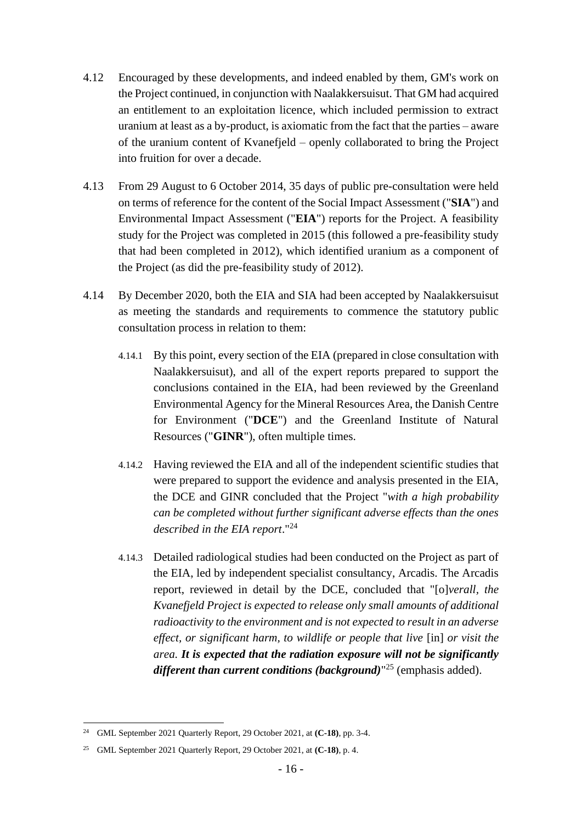- 4.12 Encouraged by these developments, and indeed enabled by them, GM's work on the Project continued, in conjunction with Naalakkersuisut. That GM had acquired an entitlement to an exploitation licence, which included permission to extract uranium at least as a by-product, is axiomatic from the fact that the parties – aware of the uranium content of Kvanefjeld – openly collaborated to bring the Project into fruition for over a decade.
- 4.13 From 29 August to 6 October 2014, 35 days of public pre-consultation were held on terms of reference for the content of the Social Impact Assessment ("**SIA**") and Environmental Impact Assessment ("**EIA**") reports for the Project. A feasibility study for the Project was completed in 2015 (this followed a pre-feasibility study that had been completed in 2012), which identified uranium as a component of the Project (as did the pre-feasibility study of 2012).
- 4.14 By December 2020, both the EIA and SIA had been accepted by Naalakkersuisut as meeting the standards and requirements to commence the statutory public consultation process in relation to them:
	- 4.14.1 By this point, every section of the EIA (prepared in close consultation with Naalakkersuisut), and all of the expert reports prepared to support the conclusions contained in the EIA, had been reviewed by the Greenland Environmental Agency for the Mineral Resources Area, the Danish Centre for Environment ("**DCE**") and the Greenland Institute of Natural Resources ("**GINR**"), often multiple times.
	- 4.14.2 Having reviewed the EIA and all of the independent scientific studies that were prepared to support the evidence and analysis presented in the EIA, the DCE and GINR concluded that the Project "*with a high probability can be completed without further significant adverse effects than the ones described in the EIA report*."<sup>24</sup>
	- 4.14.3 Detailed radiological studies had been conducted on the Project as part of the EIA, led by independent specialist consultancy, Arcadis. The Arcadis report, reviewed in detail by the DCE, concluded that "[o]*verall, the Kvanefjeld Project is expected to release only small amounts of additional radioactivity to the environment and is not expected to result in an adverse effect, or significant harm, to wildlife or people that live* [in] *or visit the area. It is expected that the radiation exposure will not be significantly different than current conditions (background)*" <sup>25</sup> (emphasis added).

<sup>24</sup> GML September 2021 Quarterly Report, 29 October 2021, at **(C-18)**, pp. 3-4.

<sup>25</sup> GML September 2021 Quarterly Report, 29 October 2021, at **(C-18)**, p. 4.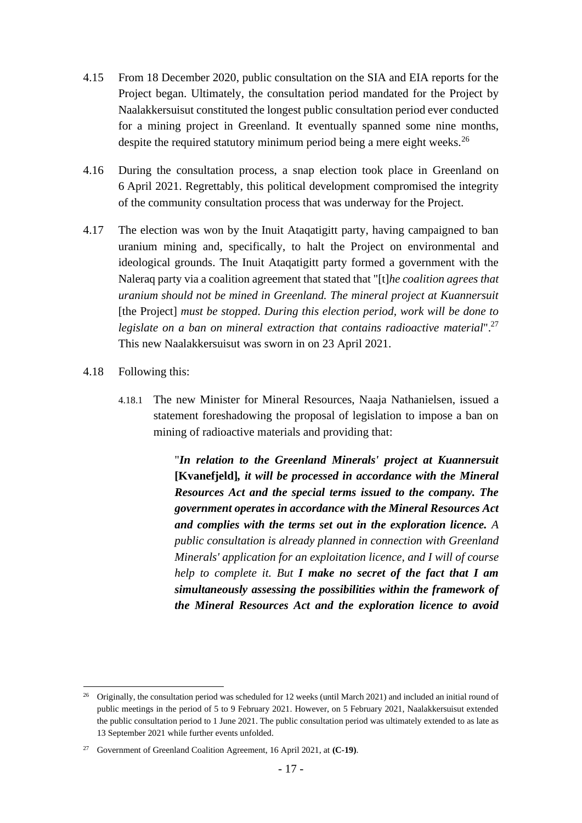- 4.15 From 18 December 2020, public consultation on the SIA and EIA reports for the Project began. Ultimately, the consultation period mandated for the Project by Naalakkersuisut constituted the longest public consultation period ever conducted for a mining project in Greenland. It eventually spanned some nine months, despite the required statutory minimum period being a mere eight weeks.<sup>26</sup>
- 4.16 During the consultation process, a snap election took place in Greenland on 6 April 2021. Regrettably, this political development compromised the integrity of the community consultation process that was underway for the Project.
- 4.17 The election was won by the Inuit Ataqatigitt party, having campaigned to ban uranium mining and, specifically, to halt the Project on environmental and ideological grounds. The Inuit Ataqatigitt party formed a government with the Naleraq party via a coalition agreement that stated that "[t]*he coalition agrees that uranium should not be mined in Greenland. The mineral project at Kuannersuit*  [the Project] *must be stopped. During this election period, work will be done to legislate on a ban on mineral extraction that contains radioactive material*".<sup>27</sup> This new Naalakkersuisut was sworn in on 23 April 2021.
- 4.18 Following this:
	- 4.18.1 The new Minister for Mineral Resources, Naaja Nathanielsen, issued a statement foreshadowing the proposal of legislation to impose a ban on mining of radioactive materials and providing that:

"*In relation to the Greenland Minerals' project at Kuannersuit* **[Kvanefjeld]***, it will be processed in accordance with the Mineral Resources Act and the special terms issued to the company. The government operates in accordance with the Mineral Resources Act and complies with the terms set out in the exploration licence. A public consultation is already planned in connection with Greenland Minerals' application for an exploitation licence, and I will of course help to complete it. But I make no secret of the fact that I am simultaneously assessing the possibilities within the framework of the Mineral Resources Act and the exploration licence to avoid* 

<sup>&</sup>lt;sup>26</sup> Originally, the consultation period was scheduled for 12 weeks (until March 2021) and included an initial round of public meetings in the period of 5 to 9 February 2021. However, on 5 February 2021, Naalakkersuisut extended the public consultation period to 1 June 2021. The public consultation period was ultimately extended to as late as 13 September 2021 while further events unfolded.

<sup>27</sup> Government of Greenland Coalition Agreement, 16 April 2021, at **(C-19)**.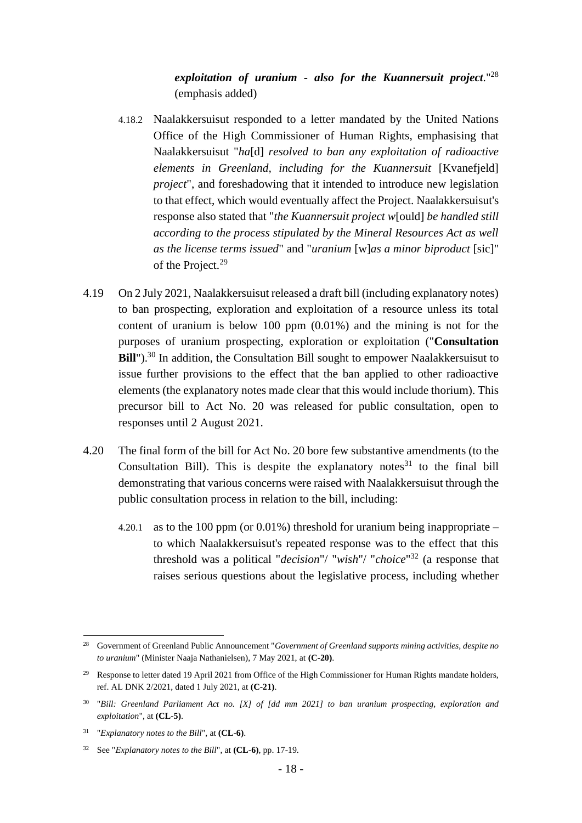*exploitation of uranium - also for the Kuannersuit project.*" 28 (emphasis added)

- 4.18.2 Naalakkersuisut responded to a letter mandated by the United Nations Office of the High Commissioner of Human Rights, emphasising that Naalakkersuisut "*ha*[d] *resolved to ban any exploitation of radioactive elements in Greenland, including for the Kuannersuit* [Kvanefjeld] *project*", and foreshadowing that it intended to introduce new legislation to that effect, which would eventually affect the Project. Naalakkersuisut's response also stated that "*the Kuannersuit project w*[ould] *be handled still according to the process stipulated by the Mineral Resources Act as well as the license terms issued*" and "*uranium* [w]*as a minor biproduct* [sic]" of the Project. 29
- 4.19 On 2 July 2021, Naalakkersuisut released a draft bill (including explanatory notes) to ban prospecting, exploration and exploitation of a resource unless its total content of uranium is below 100 ppm (0.01%) and the mining is not for the purposes of uranium prospecting, exploration or exploitation ("**Consultation Bill**").<sup>30</sup> In addition, the Consultation Bill sought to empower Naalakkersuisut to issue further provisions to the effect that the ban applied to other radioactive elements (the explanatory notes made clear that this would include thorium). This precursor bill to Act No. 20 was released for public consultation, open to responses until 2 August 2021.
- 4.20 The final form of the bill for Act No. 20 bore few substantive amendments (to the Consultation Bill). This is despite the explanatory notes<sup>31</sup> to the final bill demonstrating that various concerns were raised with Naalakkersuisut through the public consultation process in relation to the bill, including:
	- 4.20.1 as to the 100 ppm (or 0.01%) threshold for uranium being inappropriate to which Naalakkersuisut's repeated response was to the effect that this threshold was a political "*decision*"/ "*wish*"/ "*choice*" <sup>32</sup> (a response that raises serious questions about the legislative process, including whether

<sup>28</sup> Government of Greenland Public Announcement "*Government of Greenland supports mining activities, despite no to uranium*" (Minister Naaja Nathanielsen), 7 May 2021, at **(C-20)**.

<sup>&</sup>lt;sup>29</sup> Response to letter dated 19 April 2021 from Office of the High Commissioner for Human Rights mandate holders, ref. AL DNK 2/2021, dated 1 July 2021, at **(C-21)**.

<sup>30</sup> "*Bill: Greenland Parliament Act no. [X] of [dd mm 2021] to ban uranium prospecting, exploration and exploitation*", at **(CL-5)**.

<sup>31</sup> "*Explanatory notes to the Bill*", at **(CL-6)**.

<sup>32</sup> See "*Explanatory notes to the Bill*", at **(CL-6)**, pp. 17-19.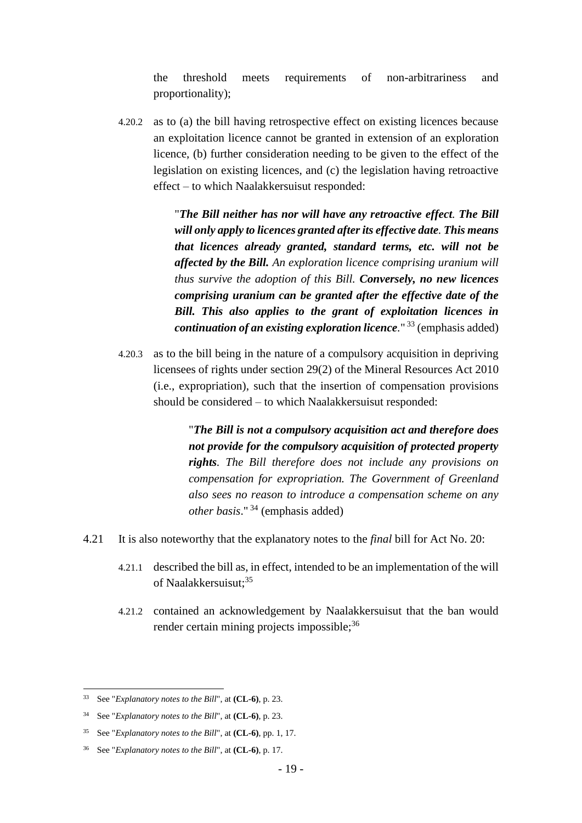the threshold meets requirements of non-arbitrariness and proportionality);

4.20.2 as to (a) the bill having retrospective effect on existing licences because an exploitation licence cannot be granted in extension of an exploration licence, (b) further consideration needing to be given to the effect of the legislation on existing licences, and (c) the legislation having retroactive effect – to which Naalakkersuisut responded:

> "*The Bill neither has nor will have any retroactive effect. The Bill will only apply to licences granted after its effective date. This means that licences already granted, standard terms, etc. will not be affected by the Bill. An exploration licence comprising uranium will thus survive the adoption of this Bill. Conversely, no new licences comprising uranium can be granted after the effective date of the Bill. This also applies to the grant of exploitation licences in continuation of an existing exploration licence.*" <sup>33</sup> (emphasis added)

4.20.3 as to the bill being in the nature of a compulsory acquisition in depriving licensees of rights under section 29(2) of the Mineral Resources Act 2010 (i.e., expropriation), such that the insertion of compensation provisions should be considered – to which Naalakkersuisut responded:

> "*The Bill is not a compulsory acquisition act and therefore does not provide for the compulsory acquisition of protected property rights. The Bill therefore does not include any provisions on compensation for expropriation. The Government of Greenland also sees no reason to introduce a compensation scheme on any other basis*." <sup>34</sup> (emphasis added)

- 4.21 It is also noteworthy that the explanatory notes to the *final* bill for Act No. 20:
	- 4.21.1 described the bill as, in effect, intended to be an implementation of the will of Naalakkersuisut; 35
	- 4.21.2 contained an acknowledgement by Naalakkersuisut that the ban would render certain mining projects impossible;<sup>36</sup>

<sup>33</sup> See "*Explanatory notes to the Bill*", at **(CL-6)**, p. 23.

<sup>34</sup> See "*Explanatory notes to the Bill*", at **(CL-6)**, p. 23.

<sup>35</sup> See "*Explanatory notes to the Bill*", at **(CL-6)**, pp. 1, 17.

<sup>36</sup> See "*Explanatory notes to the Bill*", at **(CL-6)**, p. 17.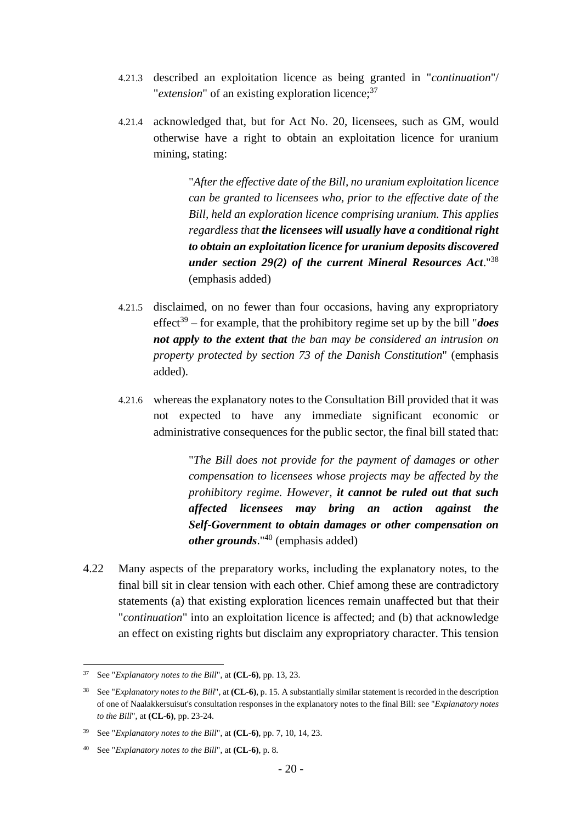- 4.21.3 described an exploitation licence as being granted in "*continuation*"/ "*extension*" of an existing exploration licence;<sup>37</sup>
- 4.21.4 acknowledged that, but for Act No. 20, licensees, such as GM, would otherwise have a right to obtain an exploitation licence for uranium mining, stating:

"*After the effective date of the Bill, no uranium exploitation licence can be granted to licensees who, prior to the effective date of the Bill, held an exploration licence comprising uranium. This applies regardless that the licensees will usually have a conditional right to obtain an exploitation licence for uranium deposits discovered under section 29(2) of the current Mineral Resources Act*."<sup>38</sup> (emphasis added)

- 4.21.5 disclaimed, on no fewer than four occasions, having any expropriatory effect<sup>39</sup> – for example, that the prohibitory regime set up by the bill "*does not apply to the extent that the ban may be considered an intrusion on property protected by section 73 of the Danish Constitution*" (emphasis added).
- 4.21.6 whereas the explanatory notes to the Consultation Bill provided that it was not expected to have any immediate significant economic or administrative consequences for the public sector, the final bill stated that:

"*The Bill does not provide for the payment of damages or other compensation to licensees whose projects may be affected by the prohibitory regime. However, it cannot be ruled out that such affected licensees may bring an action against the Self-Government to obtain damages or other compensation on other grounds*."<sup>40</sup> (emphasis added)

4.22 Many aspects of the preparatory works, including the explanatory notes, to the final bill sit in clear tension with each other. Chief among these are contradictory statements (a) that existing exploration licences remain unaffected but that their "*continuation*" into an exploitation licence is affected; and (b) that acknowledge an effect on existing rights but disclaim any expropriatory character. This tension

<sup>37</sup> See "*Explanatory notes to the Bill*", at **(CL-6)**, pp. 13, 23.

<sup>38</sup> See "*Explanatory notes to the Bill*", at **(CL-6)**, p. 15. A substantially similar statement is recorded in the description of one of Naalakkersuisut's consultation responses in the explanatory notes to the final Bill: see "*Explanatory notes to the Bill*", at **(CL-6)**, pp. 23-24.

<sup>39</sup> See "*Explanatory notes to the Bill*", at **(CL-6)**, pp. 7, 10, 14, 23.

<sup>40</sup> See "*Explanatory notes to the Bill*", at **(CL-6)**, p. 8.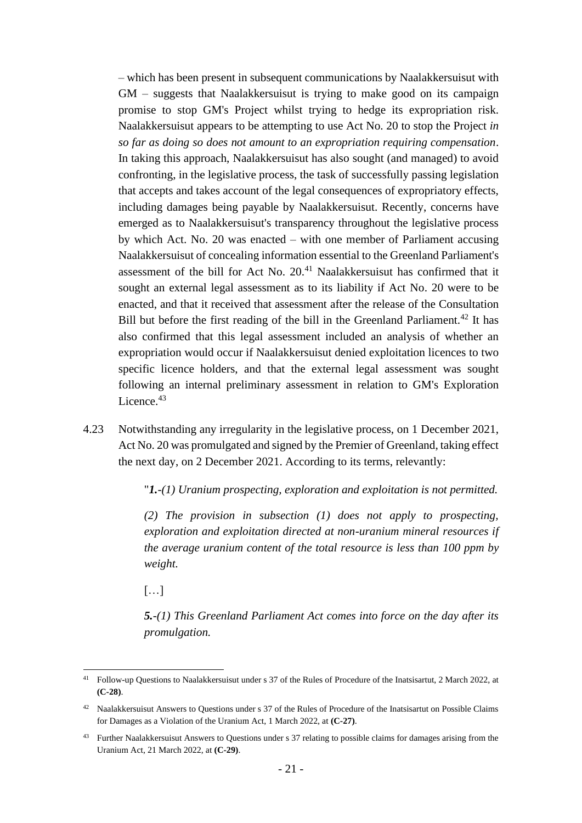– which has been present in subsequent communications by Naalakkersuisut with GM – suggests that Naalakkersuisut is trying to make good on its campaign promise to stop GM's Project whilst trying to hedge its expropriation risk. Naalakkersuisut appears to be attempting to use Act No. 20 to stop the Project *in so far as doing so does not amount to an expropriation requiring compensation*. In taking this approach, Naalakkersuisut has also sought (and managed) to avoid confronting, in the legislative process, the task of successfully passing legislation that accepts and takes account of the legal consequences of expropriatory effects, including damages being payable by Naalakkersuisut. Recently, concerns have emerged as to Naalakkersuisut's transparency throughout the legislative process by which Act. No. 20 was enacted – with one member of Parliament accusing Naalakkersuisut of concealing information essential to the Greenland Parliament's assessment of the bill for Act No.  $20^{41}$  Naalakkersuisut has confirmed that it sought an external legal assessment as to its liability if Act No. 20 were to be enacted, and that it received that assessment after the release of the Consultation Bill but before the first reading of the bill in the Greenland Parliament.<sup>42</sup> It has also confirmed that this legal assessment included an analysis of whether an expropriation would occur if Naalakkersuisut denied exploitation licences to two specific licence holders, and that the external legal assessment was sought following an internal preliminary assessment in relation to GM's Exploration Licence.<sup>43</sup>

4.23 Notwithstanding any irregularity in the legislative process, on 1 December 2021, Act No. 20 was promulgated and signed by the Premier of Greenland, taking effect the next day, on 2 December 2021. According to its terms, relevantly:

"*1.-(1) Uranium prospecting, exploration and exploitation is not permitted.*

*(2) The provision in subsection (1) does not apply to prospecting, exploration and exploitation directed at non-uranium mineral resources if the average uranium content of the total resource is less than 100 ppm by weight.*

[…]

*5.-(1) This Greenland Parliament Act comes into force on the day after its promulgation.*

<sup>41</sup> Follow-up Questions to Naalakkersuisut under s 37 of the Rules of Procedure of the Inatsisartut, 2 March 2022, at **(C-28)**.

<sup>&</sup>lt;sup>42</sup> Naalakkersuisut Answers to Questions under s 37 of the Rules of Procedure of the Inatsisartut on Possible Claims for Damages as a Violation of the Uranium Act, 1 March 2022, at **(C-27)**.

<sup>&</sup>lt;sup>43</sup> Further Naalakkersuisut Answers to Questions under s 37 relating to possible claims for damages arising from the Uranium Act, 21 March 2022, at **(C-29)**.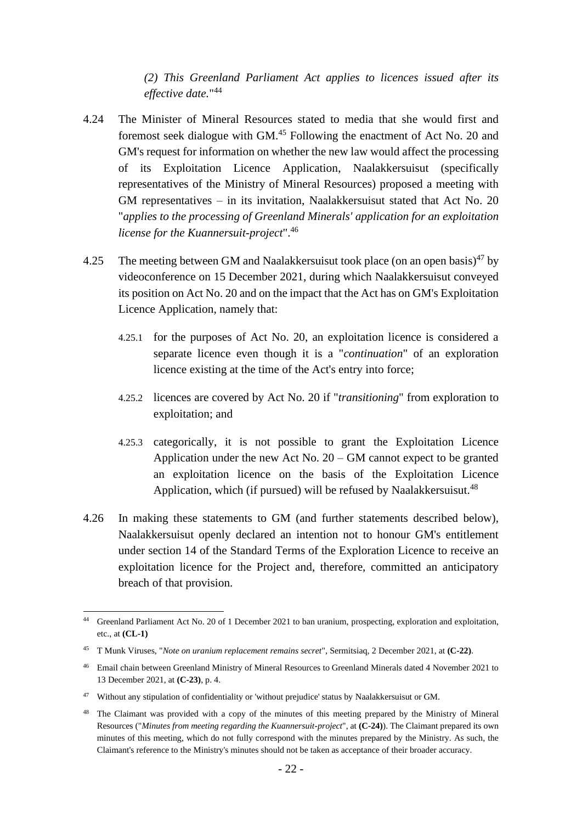*(2) This Greenland Parliament Act applies to licences issued after its effective date.*" 44

- 4.24 The Minister of Mineral Resources stated to media that she would first and foremost seek dialogue with GM.<sup>45</sup> Following the enactment of Act No. 20 and GM's request for information on whether the new law would affect the processing of its Exploitation Licence Application, Naalakkersuisut (specifically representatives of the Ministry of Mineral Resources) proposed a meeting with GM representatives – in its invitation, Naalakkersuisut stated that Act No. 20 "*applies to the processing of Greenland Minerals' application for an exploitation license for the Kuannersuit-project*".<sup>46</sup>
- 4.25 The meeting between GM and Naalakkersuisut took place (on an open basis)<sup>47</sup> by videoconference on 15 December 2021, during which Naalakkersuisut conveyed its position on Act No. 20 and on the impact that the Act has on GM's Exploitation Licence Application, namely that:
	- 4.25.1 for the purposes of Act No. 20, an exploitation licence is considered a separate licence even though it is a "*continuation*" of an exploration licence existing at the time of the Act's entry into force;
	- 4.25.2 licences are covered by Act No. 20 if "*transitioning*" from exploration to exploitation; and
	- 4.25.3 categorically, it is not possible to grant the Exploitation Licence Application under the new Act No. 20 – GM cannot expect to be granted an exploitation licence on the basis of the Exploitation Licence Application, which (if pursued) will be refused by Naalakkersuisut.<sup>48</sup>
- 4.26 In making these statements to GM (and further statements described below), Naalakkersuisut openly declared an intention not to honour GM's entitlement under section 14 of the Standard Terms of the Exploration Licence to receive an exploitation licence for the Project and, therefore, committed an anticipatory breach of that provision.

<sup>44</sup> Greenland Parliament Act No. 20 of 1 December 2021 to ban uranium, prospecting, exploration and exploitation, etc., at **(CL-1)**

<sup>45</sup> T Munk Viruses, "*Note on uranium replacement remains secret*", Sermitsiaq, 2 December 2021, at **(C-22)**.

<sup>46</sup> Email chain between Greenland Ministry of Mineral Resources to Greenland Minerals dated 4 November 2021 to 13 December 2021, at **(C-23)**, p. 4.

<sup>47</sup> Without any stipulation of confidentiality or 'without prejudice' status by Naalakkersuisut or GM.

<sup>&</sup>lt;sup>48</sup> The Claimant was provided with a copy of the minutes of this meeting prepared by the Ministry of Mineral Resources ("*Minutes from meeting regarding the Kuannersuit-project*", at **(C-24)**). The Claimant prepared its own minutes of this meeting, which do not fully correspond with the minutes prepared by the Ministry. As such, the Claimant's reference to the Ministry's minutes should not be taken as acceptance of their broader accuracy.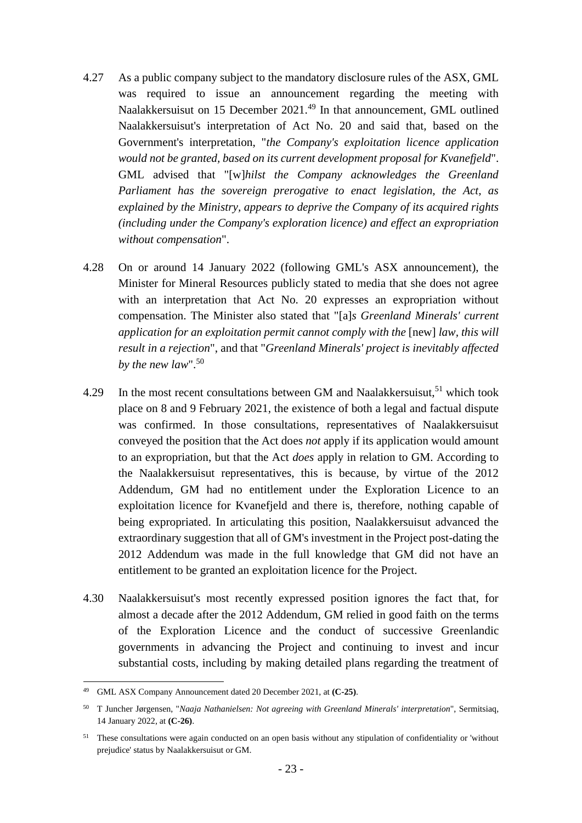- 4.27 As a public company subject to the mandatory disclosure rules of the ASX, GML was required to issue an announcement regarding the meeting with Naalakkersuisut on 15 December 2021.<sup>49</sup> In that announcement, GML outlined Naalakkersuisut's interpretation of Act No. 20 and said that, based on the Government's interpretation, "*the Company's exploitation licence application would not be granted, based on its current development proposal for Kvanefjeld*". GML advised that "[w]*hilst the Company acknowledges the Greenland Parliament has the sovereign prerogative to enact legislation, the Act, as explained by the Ministry, appears to deprive the Company of its acquired rights (including under the Company's exploration licence) and effect an expropriation without compensation*".
- 4.28 On or around 14 January 2022 (following GML's ASX announcement), the Minister for Mineral Resources publicly stated to media that she does not agree with an interpretation that Act No. 20 expresses an expropriation without compensation. The Minister also stated that "[a]*s Greenland Minerals' current application for an exploitation permit cannot comply with the [new] law, this will result in a rejection*", and that "*Greenland Minerals' project is inevitably affected by the new law*".<sup>50</sup>
- 4.29 In the most recent consultations between GM and Naalakkersuisut,<sup>51</sup> which took place on 8 and 9 February 2021, the existence of both a legal and factual dispute was confirmed. In those consultations, representatives of Naalakkersuisut conveyed the position that the Act does *not* apply if its application would amount to an expropriation, but that the Act *does* apply in relation to GM. According to the Naalakkersuisut representatives, this is because, by virtue of the 2012 Addendum, GM had no entitlement under the Exploration Licence to an exploitation licence for Kvanefjeld and there is, therefore, nothing capable of being expropriated. In articulating this position, Naalakkersuisut advanced the extraordinary suggestion that all of GM's investment in the Project post-dating the 2012 Addendum was made in the full knowledge that GM did not have an entitlement to be granted an exploitation licence for the Project.
- 4.30 Naalakkersuisut's most recently expressed position ignores the fact that, for almost a decade after the 2012 Addendum, GM relied in good faith on the terms of the Exploration Licence and the conduct of successive Greenlandic governments in advancing the Project and continuing to invest and incur substantial costs, including by making detailed plans regarding the treatment of

<sup>49</sup> GML ASX Company Announcement dated 20 December 2021, at **(C-25)**.

<sup>50</sup> T Juncher Jørgensen, "*Naaja Nathanielsen: Not agreeing with Greenland Minerals' interpretation*", Sermitsiaq, 14 January 2022, at **(C-26)**.

<sup>&</sup>lt;sup>51</sup> These consultations were again conducted on an open basis without any stipulation of confidentiality or 'without prejudice' status by Naalakkersuisut or GM.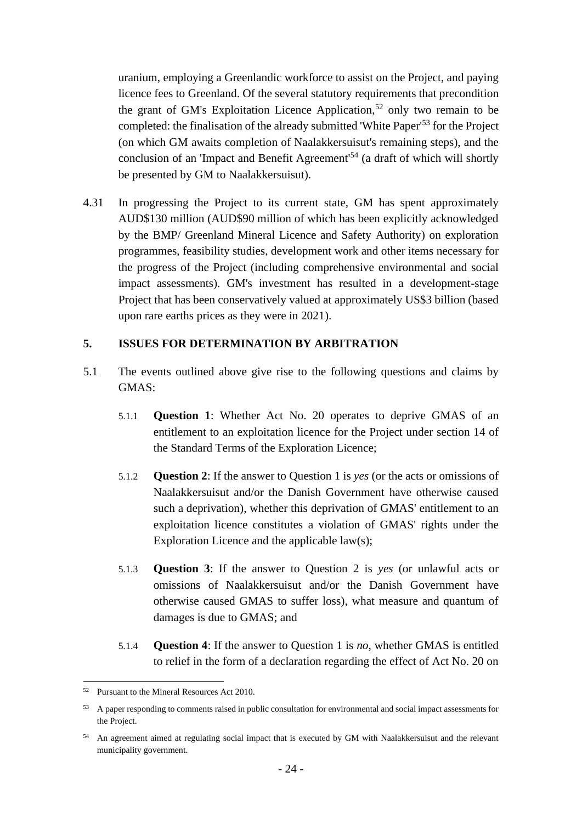uranium, employing a Greenlandic workforce to assist on the Project, and paying licence fees to Greenland. Of the several statutory requirements that precondition the grant of GM's Exploitation Licence Application,<sup>52</sup> only two remain to be completed: the finalisation of the already submitted 'White Paper'<sup>53</sup> for the Project (on which GM awaits completion of Naalakkersuisut's remaining steps), and the conclusion of an 'Impact and Benefit Agreement'<sup>54</sup> (a draft of which will shortly be presented by GM to Naalakkersuisut).

4.31 In progressing the Project to its current state, GM has spent approximately AUD\$130 million (AUD\$90 million of which has been explicitly acknowledged by the BMP/ Greenland Mineral Licence and Safety Authority) on exploration programmes, feasibility studies, development work and other items necessary for the progress of the Project (including comprehensive environmental and social impact assessments). GM's investment has resulted in a development-stage Project that has been conservatively valued at approximately US\$3 billion (based upon rare earths prices as they were in 2021).

#### **5. ISSUES FOR DETERMINATION BY ARBITRATION**

- 5.1 The events outlined above give rise to the following questions and claims by GMAS:
	- 5.1.1 **Question 1**: Whether Act No. 20 operates to deprive GMAS of an entitlement to an exploitation licence for the Project under section 14 of the Standard Terms of the Exploration Licence;
	- 5.1.2 **Question 2**: If the answer to Question 1 is *yes* (or the acts or omissions of Naalakkersuisut and/or the Danish Government have otherwise caused such a deprivation), whether this deprivation of GMAS' entitlement to an exploitation licence constitutes a violation of GMAS' rights under the Exploration Licence and the applicable law(s):
	- 5.1.3 **Question 3**: If the answer to Question 2 is *yes* (or unlawful acts or omissions of Naalakkersuisut and/or the Danish Government have otherwise caused GMAS to suffer loss), what measure and quantum of damages is due to GMAS; and
	- 5.1.4 **Question 4**: If the answer to Question 1 is *no*, whether GMAS is entitled to relief in the form of a declaration regarding the effect of Act No. 20 on

<sup>52</sup> Pursuant to the Mineral Resources Act 2010.

<sup>&</sup>lt;sup>53</sup> A paper responding to comments raised in public consultation for environmental and social impact assessments for the Project.

<sup>&</sup>lt;sup>54</sup> An agreement aimed at regulating social impact that is executed by GM with Naalakkersuisut and the relevant municipality government.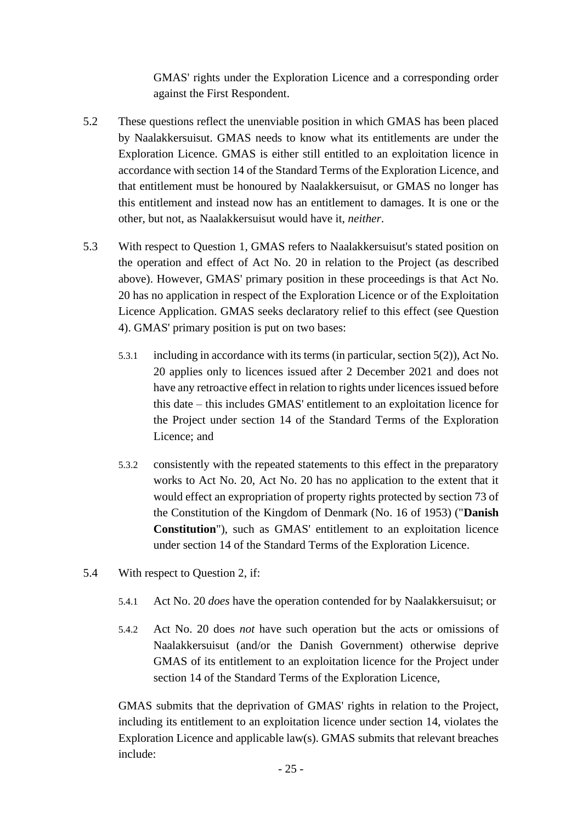GMAS' rights under the Exploration Licence and a corresponding order against the First Respondent.

- 5.2 These questions reflect the unenviable position in which GMAS has been placed by Naalakkersuisut. GMAS needs to know what its entitlements are under the Exploration Licence. GMAS is either still entitled to an exploitation licence in accordance with section 14 of the Standard Terms of the Exploration Licence, and that entitlement must be honoured by Naalakkersuisut, or GMAS no longer has this entitlement and instead now has an entitlement to damages. It is one or the other, but not, as Naalakkersuisut would have it, *neither*.
- 5.3 With respect to Question 1, GMAS refers to Naalakkersuisut's stated position on the operation and effect of Act No. 20 in relation to the Project (as described above). However, GMAS' primary position in these proceedings is that Act No. 20 has no application in respect of the Exploration Licence or of the Exploitation Licence Application. GMAS seeks declaratory relief to this effect (see Question 4). GMAS' primary position is put on two bases:
	- 5.3.1 including in accordance with its terms (in particular, section 5(2)), Act No. 20 applies only to licences issued after 2 December 2021 and does not have any retroactive effect in relation to rights under licences issued before this date – this includes GMAS' entitlement to an exploitation licence for the Project under section 14 of the Standard Terms of the Exploration Licence; and
	- 5.3.2 consistently with the repeated statements to this effect in the preparatory works to Act No. 20, Act No. 20 has no application to the extent that it would effect an expropriation of property rights protected by section 73 of the Constitution of the Kingdom of Denmark (No. 16 of 1953) ("**Danish Constitution**"), such as GMAS' entitlement to an exploitation licence under section 14 of the Standard Terms of the Exploration Licence.
- 5.4 With respect to Question 2, if:
	- 5.4.1 Act No. 20 *does* have the operation contended for by Naalakkersuisut; or
	- 5.4.2 Act No. 20 does *not* have such operation but the acts or omissions of Naalakkersuisut (and/or the Danish Government) otherwise deprive GMAS of its entitlement to an exploitation licence for the Project under section 14 of the Standard Terms of the Exploration Licence,

GMAS submits that the deprivation of GMAS' rights in relation to the Project, including its entitlement to an exploitation licence under section 14, violates the Exploration Licence and applicable law(s). GMAS submits that relevant breaches include: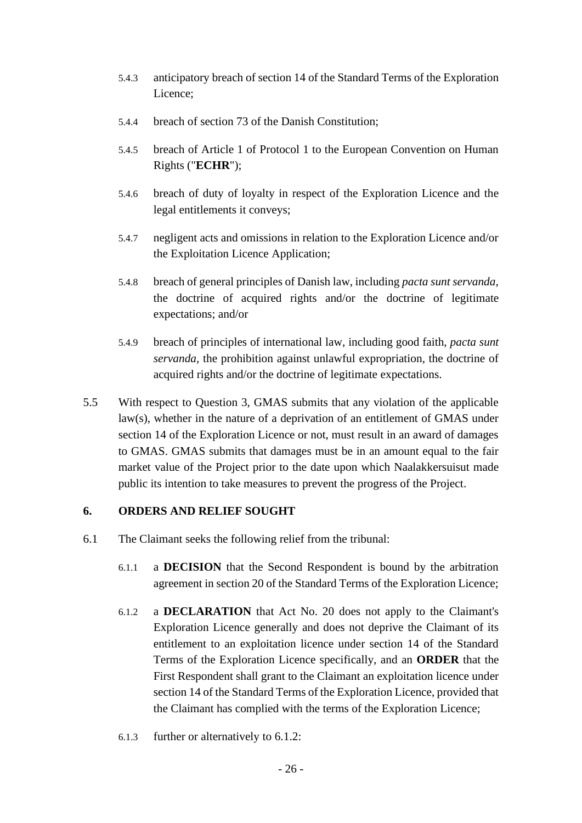- 5.4.3 anticipatory breach of section 14 of the Standard Terms of the Exploration Licence;
- 5.4.4 breach of section 73 of the Danish Constitution;
- 5.4.5 breach of Article 1 of Protocol 1 to the European Convention on Human Rights ("**ECHR**");
- 5.4.6 breach of duty of loyalty in respect of the Exploration Licence and the legal entitlements it conveys;
- 5.4.7 negligent acts and omissions in relation to the Exploration Licence and/or the Exploitation Licence Application;
- 5.4.8 breach of general principles of Danish law, including *pacta sunt servanda*, the doctrine of acquired rights and/or the doctrine of legitimate expectations; and/or
- 5.4.9 breach of principles of international law, including good faith, *pacta sunt servanda*, the prohibition against unlawful expropriation, the doctrine of acquired rights and/or the doctrine of legitimate expectations.
- 5.5 With respect to Question 3, GMAS submits that any violation of the applicable law(s), whether in the nature of a deprivation of an entitlement of GMAS under section 14 of the Exploration Licence or not, must result in an award of damages to GMAS. GMAS submits that damages must be in an amount equal to the fair market value of the Project prior to the date upon which Naalakkersuisut made public its intention to take measures to prevent the progress of the Project.

## **6. ORDERS AND RELIEF SOUGHT**

- <span id="page-25-0"></span>6.1 The Claimant seeks the following relief from the tribunal:
	- 6.1.1 a **DECISION** that the Second Respondent is bound by the arbitration agreement in section 20 of the Standard Terms of the Exploration Licence;
	- 6.1.2 a **DECLARATION** that Act No. 20 does not apply to the Claimant's Exploration Licence generally and does not deprive the Claimant of its entitlement to an exploitation licence under section 14 of the Standard Terms of the Exploration Licence specifically, and an **ORDER** that the First Respondent shall grant to the Claimant an exploitation licence under section 14 of the Standard Terms of the Exploration Licence, provided that the Claimant has complied with the terms of the Exploration Licence;
	- 6.1.3 further or alternatively to [6.1.2:](#page-25-0)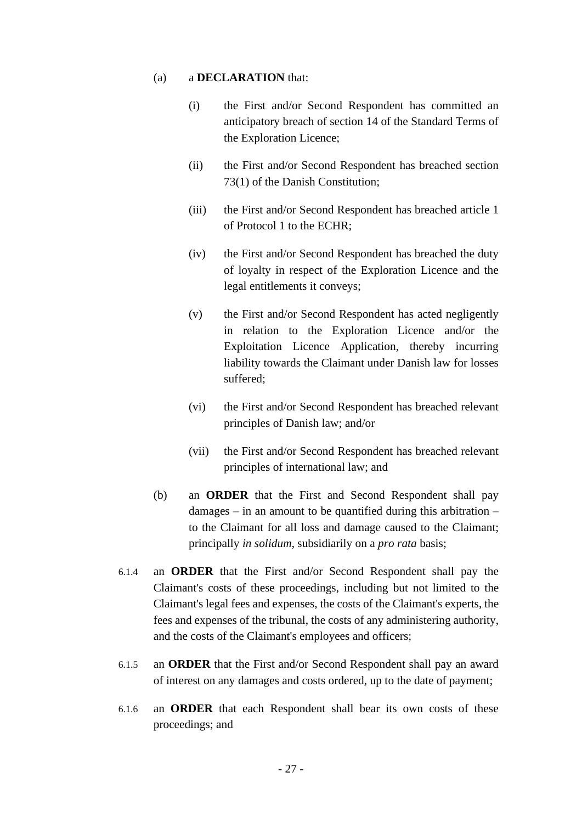#### (a) a **DECLARATION** that:

- (i) the First and/or Second Respondent has committed an anticipatory breach of section 14 of the Standard Terms of the Exploration Licence;
- (ii) the First and/or Second Respondent has breached section 73(1) of the Danish Constitution;
- (iii) the First and/or Second Respondent has breached article 1 of Protocol 1 to the ECHR;
- (iv) the First and/or Second Respondent has breached the duty of loyalty in respect of the Exploration Licence and the legal entitlements it conveys;
- (v) the First and/or Second Respondent has acted negligently in relation to the Exploration Licence and/or the Exploitation Licence Application, thereby incurring liability towards the Claimant under Danish law for losses suffered;
- (vi) the First and/or Second Respondent has breached relevant principles of Danish law; and/or
- (vii) the First and/or Second Respondent has breached relevant principles of international law; and
- (b) an **ORDER** that the First and Second Respondent shall pay damages – in an amount to be quantified during this arbitration – to the Claimant for all loss and damage caused to the Claimant; principally *in solidum*, subsidiarily on a *pro rata* basis;
- 6.1.4 an **ORDER** that the First and/or Second Respondent shall pay the Claimant's costs of these proceedings, including but not limited to the Claimant's legal fees and expenses, the costs of the Claimant's experts, the fees and expenses of the tribunal, the costs of any administering authority, and the costs of the Claimant's employees and officers;
- 6.1.5 an **ORDER** that the First and/or Second Respondent shall pay an award of interest on any damages and costs ordered, up to the date of payment;
- 6.1.6 an **ORDER** that each Respondent shall bear its own costs of these proceedings; and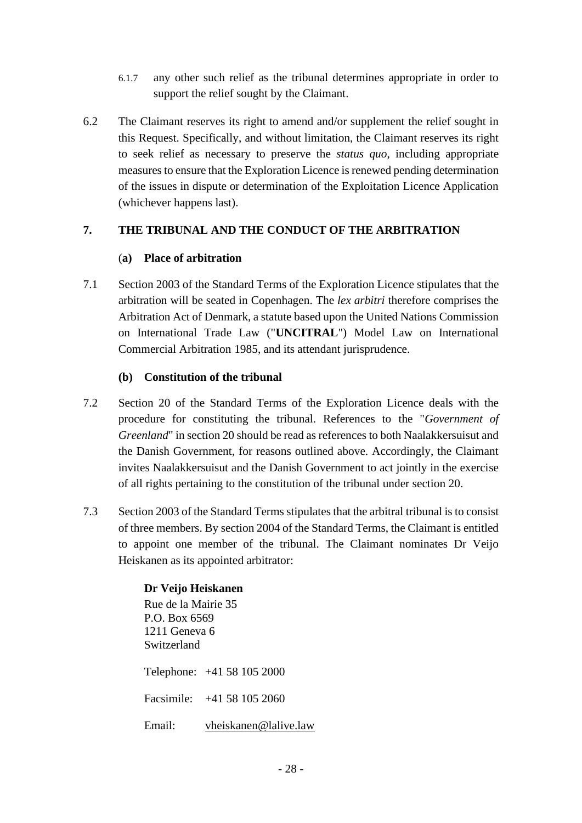- 6.1.7 any other such relief as the tribunal determines appropriate in order to support the relief sought by the Claimant.
- 6.2 The Claimant reserves its right to amend and/or supplement the relief sought in this Request. Specifically, and without limitation, the Claimant reserves its right to seek relief as necessary to preserve the *status quo*, including appropriate measures to ensure that the Exploration Licence is renewed pending determination of the issues in dispute or determination of the Exploitation Licence Application (whichever happens last).

# **7. THE TRIBUNAL AND THE CONDUCT OF THE ARBITRATION**

## (**a) Place of arbitration**

7.1 Section 2003 of the Standard Terms of the Exploration Licence stipulates that the arbitration will be seated in Copenhagen. The *lex arbitri* therefore comprises the Arbitration Act of Denmark, a statute based upon the United Nations Commission on International Trade Law ("**UNCITRAL**") Model Law on International Commercial Arbitration 1985, and its attendant jurisprudence.

## **(b) Constitution of the tribunal**

- 7.2 Section 20 of the Standard Terms of the Exploration Licence deals with the procedure for constituting the tribunal. References to the "*Government of Greenland*" in section 20 should be read as references to both Naalakkersuisut and the Danish Government, for reasons outlined above. Accordingly, the Claimant invites Naalakkersuisut and the Danish Government to act jointly in the exercise of all rights pertaining to the constitution of the tribunal under section 20.
- 7.3 Section 2003 of the Standard Terms stipulates that the arbitral tribunal is to consist of three members. By section 2004 of the Standard Terms, the Claimant is entitled to appoint one member of the tribunal. The Claimant nominates Dr Veijo Heiskanen as its appointed arbitrator:

## **Dr Veijo Heiskanen**

Rue de la Mairie 35 P.O. Box 6569 1211 Geneva 6 Switzerland Telephone: +41 58 105 2000 Facsimile: +41 58 105 2060 Email: vheiskanen@lalive.law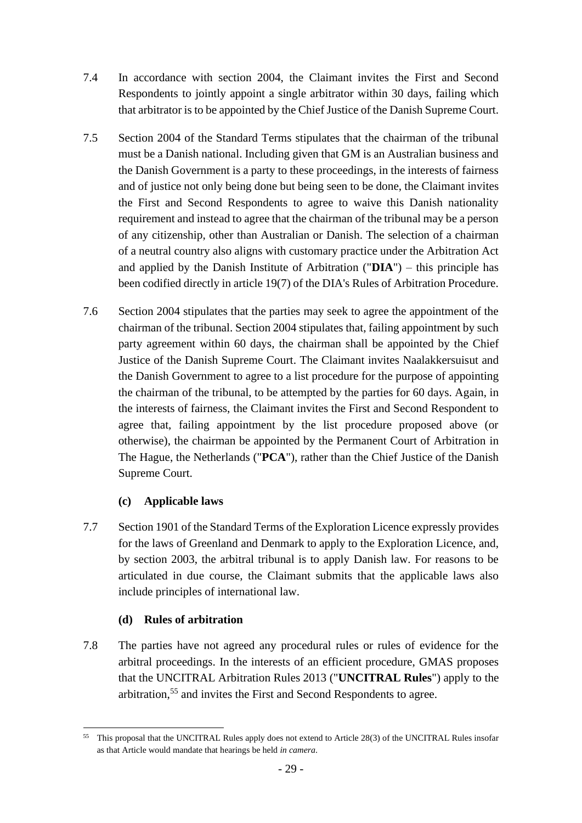- 7.4 In accordance with section 2004, the Claimant invites the First and Second Respondents to jointly appoint a single arbitrator within 30 days, failing which that arbitrator is to be appointed by the Chief Justice of the Danish Supreme Court.
- 7.5 Section 2004 of the Standard Terms stipulates that the chairman of the tribunal must be a Danish national. Including given that GM is an Australian business and the Danish Government is a party to these proceedings, in the interests of fairness and of justice not only being done but being seen to be done, the Claimant invites the First and Second Respondents to agree to waive this Danish nationality requirement and instead to agree that the chairman of the tribunal may be a person of any citizenship, other than Australian or Danish. The selection of a chairman of a neutral country also aligns with customary practice under the Arbitration Act and applied by the Danish Institute of Arbitration ("**DIA**") – this principle has been codified directly in article 19(7) of the DIA's Rules of Arbitration Procedure.
- 7.6 Section 2004 stipulates that the parties may seek to agree the appointment of the chairman of the tribunal. Section 2004 stipulates that, failing appointment by such party agreement within 60 days, the chairman shall be appointed by the Chief Justice of the Danish Supreme Court. The Claimant invites Naalakkersuisut and the Danish Government to agree to a list procedure for the purpose of appointing the chairman of the tribunal, to be attempted by the parties for 60 days. Again, in the interests of fairness, the Claimant invites the First and Second Respondent to agree that, failing appointment by the list procedure proposed above (or otherwise), the chairman be appointed by the Permanent Court of Arbitration in The Hague, the Netherlands ("**PCA**"), rather than the Chief Justice of the Danish Supreme Court.

# **(c) Applicable laws**

7.7 Section 1901 of the Standard Terms of the Exploration Licence expressly provides for the laws of Greenland and Denmark to apply to the Exploration Licence, and, by section 2003, the arbitral tribunal is to apply Danish law. For reasons to be articulated in due course, the Claimant submits that the applicable laws also include principles of international law.

# **(d) Rules of arbitration**

7.8 The parties have not agreed any procedural rules or rules of evidence for the arbitral proceedings. In the interests of an efficient procedure, GMAS proposes that the UNCITRAL Arbitration Rules 2013 ("**UNCITRAL Rules**") apply to the arbitration,<sup>55</sup> and invites the First and Second Respondents to agree.

<sup>55</sup> This proposal that the UNCITRAL Rules apply does not extend to Article 28(3) of the UNCITRAL Rules insofar as that Article would mandate that hearings be held *in camera*.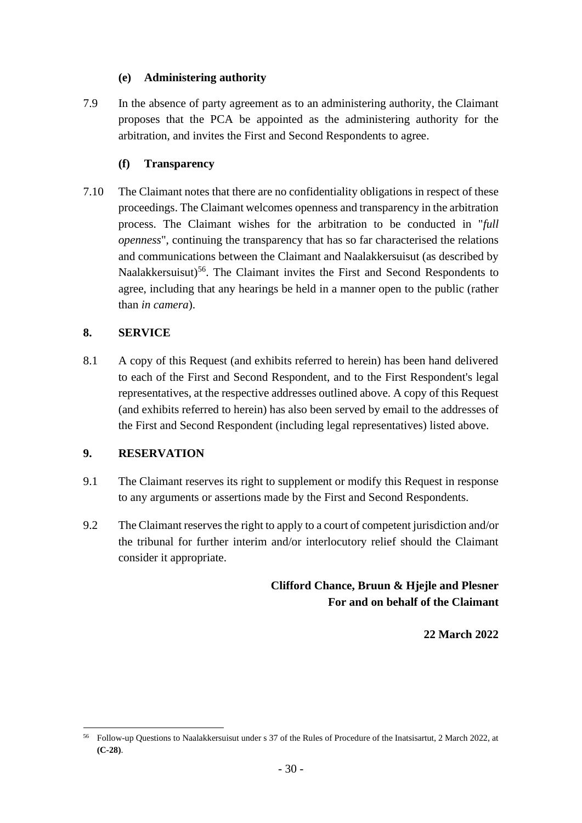## **(e) Administering authority**

7.9 In the absence of party agreement as to an administering authority, the Claimant proposes that the PCA be appointed as the administering authority for the arbitration, and invites the First and Second Respondents to agree.

## **(f) Transparency**

7.10 The Claimant notes that there are no confidentiality obligations in respect of these proceedings. The Claimant welcomes openness and transparency in the arbitration process. The Claimant wishes for the arbitration to be conducted in "*full openness*", continuing the transparency that has so far characterised the relations and communications between the Claimant and Naalakkersuisut (as described by Naalakkersuisut)<sup>56</sup>. The Claimant invites the First and Second Respondents to agree, including that any hearings be held in a manner open to the public (rather than *in camera*).

## **8. SERVICE**

8.1 A copy of this Request (and exhibits referred to herein) has been hand delivered to each of the First and Second Respondent, and to the First Respondent's legal representatives, at the respective addresses outlined above. A copy of this Request (and exhibits referred to herein) has also been served by email to the addresses of the First and Second Respondent (including legal representatives) listed above.

## **9. RESERVATION**

- 9.1 The Claimant reserves its right to supplement or modify this Request in response to any arguments or assertions made by the First and Second Respondents.
- 9.2 The Claimant reserves the right to apply to a court of competent jurisdiction and/or the tribunal for further interim and/or interlocutory relief should the Claimant consider it appropriate.

**Clifford Chance, Bruun & Hjejle and Plesner For and on behalf of the Claimant**

**22 March 2022**

<sup>56</sup> Follow-up Questions to Naalakkersuisut under s 37 of the Rules of Procedure of the Inatsisartut, 2 March 2022, at **(C-28)**.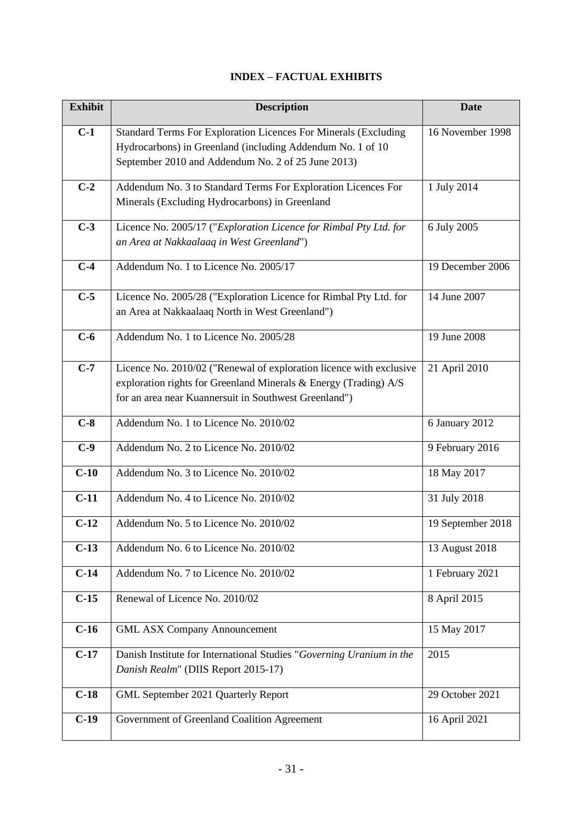# **INDEX – FACTUAL EXHIBITS**

| <b>Exhibit</b> | <b>Description</b>                                                                                                                                                                               | <b>Date</b>       |
|----------------|--------------------------------------------------------------------------------------------------------------------------------------------------------------------------------------------------|-------------------|
| $C-1$          | Standard Terms For Exploration Licences For Minerals (Excluding<br>Hydrocarbons) in Greenland (including Addendum No. 1 of 10<br>September 2010 and Addendum No. 2 of 25 June 2013)              | 16 November 1998  |
| $C-2$          | Addendum No. 3 to Standard Terms For Exploration Licences For<br>Minerals (Excluding Hydrocarbons) in Greenland                                                                                  | 1 July 2014       |
| $C-3$          | Licence No. 2005/17 ("Exploration Licence for Rimbal Pty Ltd. for<br>an Area at Nakkaalaaq in West Greenland")                                                                                   | 6 July 2005       |
| $C-4$          | Addendum No. 1 to Licence No. 2005/17                                                                                                                                                            | 19 December 2006  |
| $C-5$          | Licence No. 2005/28 ("Exploration Licence for Rimbal Pty Ltd. for<br>an Area at Nakkaalaaq North in West Greenland")                                                                             | 14 June 2007      |
| $C-6$          | Addendum No. 1 to Licence No. 2005/28                                                                                                                                                            | 19 June 2008      |
| $C-7$          | Licence No. 2010/02 ("Renewal of exploration licence with exclusive<br>exploration rights for Greenland Minerals & Energy (Trading) A/S<br>for an area near Kuannersuit in Southwest Greenland") | 21 April 2010     |
| $C-8$          | Addendum No. 1 to Licence No. 2010/02                                                                                                                                                            | 6 January 2012    |
| $C-9$          | Addendum No. 2 to Licence No. 2010/02                                                                                                                                                            | 9 February 2016   |
| $C-10$         | Addendum No. 3 to Licence No. 2010/02                                                                                                                                                            | 18 May 2017       |
| $C-11$         | Addendum No. 4 to Licence No. 2010/02                                                                                                                                                            | 31 July 2018      |
| $C-12$         | Addendum No. 5 to Licence No. 2010/02                                                                                                                                                            | 19 September 2018 |
| $C-13$         | Addendum No. 6 to Licence No. 2010/02                                                                                                                                                            | 13 August 2018    |
| $C-14$         | Addendum No. 7 to Licence No. 2010/02                                                                                                                                                            | 1 February 2021   |
| $C-15$         | Renewal of Licence No. 2010/02                                                                                                                                                                   | 8 April 2015      |
| $C-16$         | <b>GML ASX Company Announcement</b>                                                                                                                                                              | 15 May 2017       |
| $C-17$         | Danish Institute for International Studies "Governing Uranium in the<br>Danish Realm" (DIIS Report 2015-17)                                                                                      | 2015              |
| $C-18$         | GML September 2021 Quarterly Report                                                                                                                                                              | 29 October 2021   |
| $C-19$         | Government of Greenland Coalition Agreement                                                                                                                                                      | 16 April 2021     |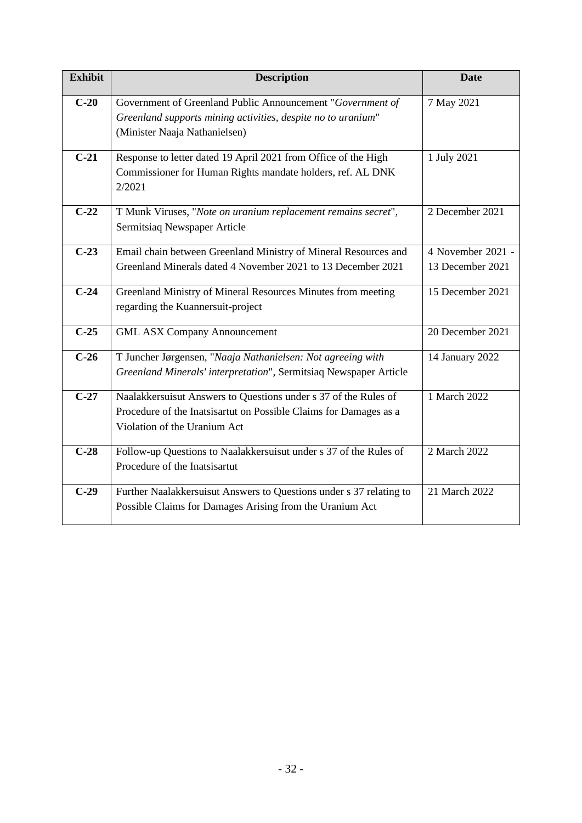| <b>Exhibit</b> | <b>Description</b>                                                                                                                                                   | <b>Date</b>                           |
|----------------|----------------------------------------------------------------------------------------------------------------------------------------------------------------------|---------------------------------------|
| $C-20$         | Government of Greenland Public Announcement "Government of<br>Greenland supports mining activities, despite no to uranium"<br>(Minister Naaja Nathanielsen)          | 7 May 2021                            |
| $C-21$         | Response to letter dated 19 April 2021 from Office of the High<br>Commissioner for Human Rights mandate holders, ref. AL DNK<br>2/2021                               | 1 July 2021                           |
| $C-22$         | T Munk Viruses, "Note on uranium replacement remains secret",<br>Sermitsiaq Newspaper Article                                                                        | 2 December 2021                       |
| $C-23$         | Email chain between Greenland Ministry of Mineral Resources and<br>Greenland Minerals dated 4 November 2021 to 13 December 2021                                      | 4 November 2021 -<br>13 December 2021 |
| $C-24$         | Greenland Ministry of Mineral Resources Minutes from meeting<br>regarding the Kuannersuit-project                                                                    | 15 December 2021                      |
| $C-25$         | <b>GML ASX Company Announcement</b>                                                                                                                                  | 20 December 2021                      |
| $C-26$         | T Juncher Jørgensen, "Naaja Nathanielsen: Not agreeing with<br>Greenland Minerals' interpretation", Sermitsiaq Newspaper Article                                     | 14 January 2022                       |
| $C-27$         | Naalakkersuisut Answers to Questions under s 37 of the Rules of<br>Procedure of the Inatsisartut on Possible Claims for Damages as a<br>Violation of the Uranium Act | 1 March 2022                          |
| $C-28$         | Follow-up Questions to Naalakkersuisut under s 37 of the Rules of<br>Procedure of the Inatsisartut                                                                   | 2 March 2022                          |
| $C-29$         | Further Naalakkersuisut Answers to Questions under s 37 relating to<br>Possible Claims for Damages Arising from the Uranium Act                                      | 21 March 2022                         |